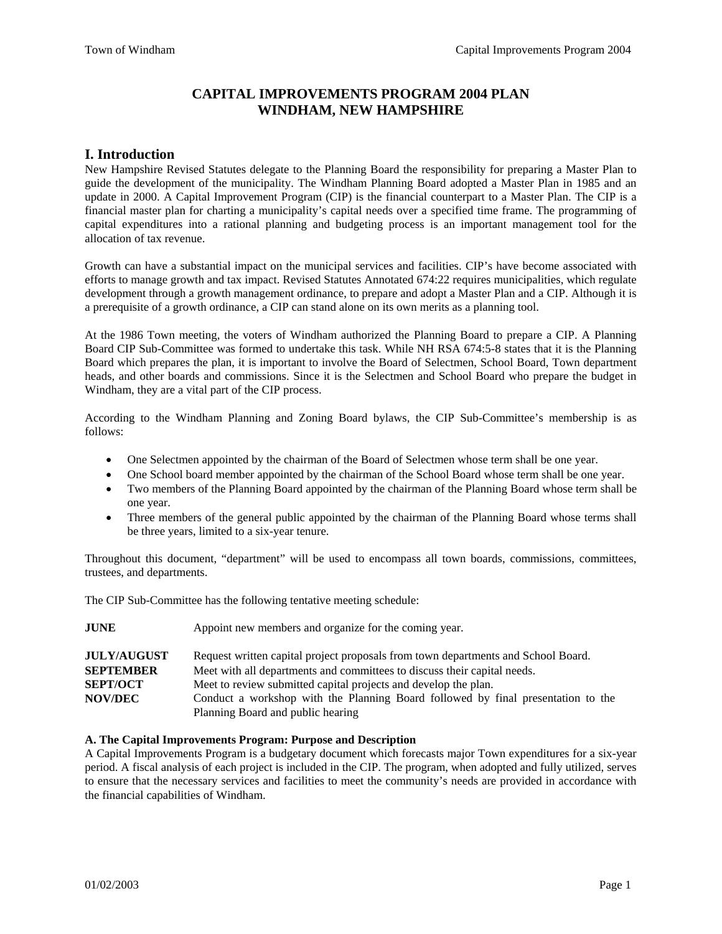## **CAPITAL IMPROVEMENTS PROGRAM 2004 PLAN WINDHAM, NEW HAMPSHIRE**

## **I. Introduction**

New Hampshire Revised Statutes delegate to the Planning Board the responsibility for preparing a Master Plan to guide the development of the municipality. The Windham Planning Board adopted a Master Plan in 1985 and an update in 2000. A Capital Improvement Program (CIP) is the financial counterpart to a Master Plan. The CIP is a financial master plan for charting a municipality's capital needs over a specified time frame. The programming of capital expenditures into a rational planning and budgeting process is an important management tool for the allocation of tax revenue.

Growth can have a substantial impact on the municipal services and facilities. CIP's have become associated with efforts to manage growth and tax impact. Revised Statutes Annotated 674:22 requires municipalities, which regulate development through a growth management ordinance, to prepare and adopt a Master Plan and a CIP. Although it is a prerequisite of a growth ordinance, a CIP can stand alone on its own merits as a planning tool.

At the 1986 Town meeting, the voters of Windham authorized the Planning Board to prepare a CIP. A Planning Board CIP Sub-Committee was formed to undertake this task. While NH RSA 674:5-8 states that it is the Planning Board which prepares the plan, it is important to involve the Board of Selectmen, School Board, Town department heads, and other boards and commissions. Since it is the Selectmen and School Board who prepare the budget in Windham, they are a vital part of the CIP process.

According to the Windham Planning and Zoning Board bylaws, the CIP Sub-Committee's membership is as follows:

- One Selectmen appointed by the chairman of the Board of Selectmen whose term shall be one year.
- One School board member appointed by the chairman of the School Board whose term shall be one year.
- Two members of the Planning Board appointed by the chairman of the Planning Board whose term shall be one year.
- Three members of the general public appointed by the chairman of the Planning Board whose terms shall be three years, limited to a six-year tenure.

Throughout this document, "department" will be used to encompass all town boards, commissions, committees, trustees, and departments.

The CIP Sub-Committee has the following tentative meeting schedule:

| JUNE                                                                 | Appoint new members and organize for the coming year.                                                                                                                                                                                                                                                                |
|----------------------------------------------------------------------|----------------------------------------------------------------------------------------------------------------------------------------------------------------------------------------------------------------------------------------------------------------------------------------------------------------------|
| <b>JULY/AUGUST</b><br><b>SEPTEMBER</b><br><b>SEPT/OCT</b><br>NOV/DEC | Request written capital project proposals from town departments and School Board.<br>Meet with all departments and committees to discuss their capital needs.<br>Meet to review submitted capital projects and develop the plan.<br>Conduct a workshop with the Planning Board followed by final presentation to the |
|                                                                      | Planning Board and public hearing                                                                                                                                                                                                                                                                                    |

#### **A. The Capital Improvements Program: Purpose and Description**

A Capital Improvements Program is a budgetary document which forecasts major Town expenditures for a six-year period. A fiscal analysis of each project is included in the CIP. The program, when adopted and fully utilized, serves to ensure that the necessary services and facilities to meet the community's needs are provided in accordance with the financial capabilities of Windham.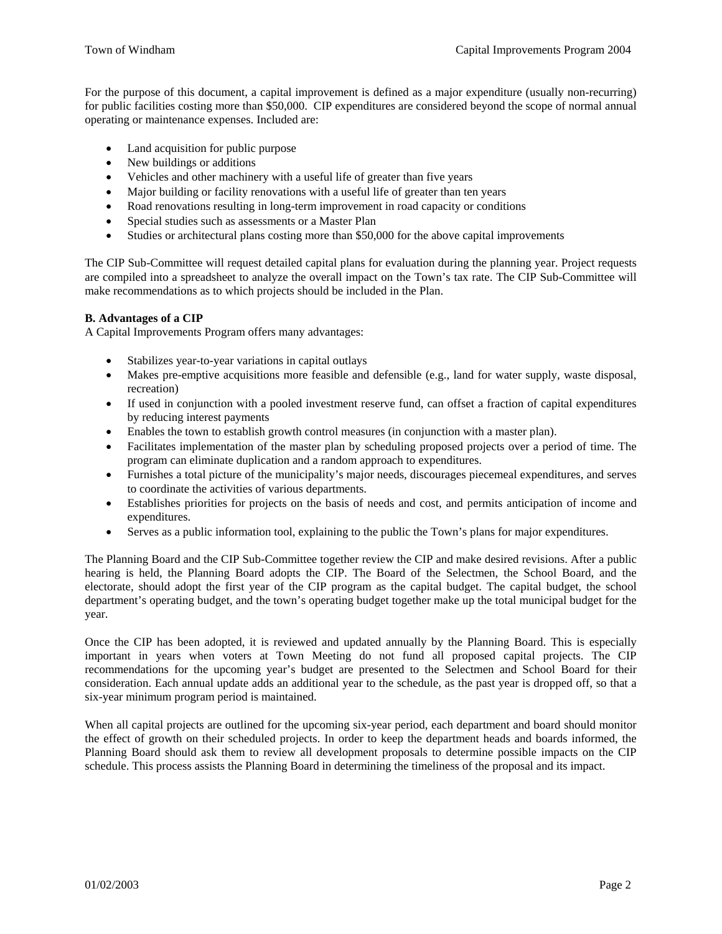For the purpose of this document, a capital improvement is defined as a major expenditure (usually non-recurring) for public facilities costing more than \$50,000. CIP expenditures are considered beyond the scope of normal annual operating or maintenance expenses. Included are:

- Land acquisition for public purpose
- New buildings or additions
- Vehicles and other machinery with a useful life of greater than five years
- Major building or facility renovations with a useful life of greater than ten years
- Road renovations resulting in long-term improvement in road capacity or conditions
- Special studies such as assessments or a Master Plan
- Studies or architectural plans costing more than \$50,000 for the above capital improvements

The CIP Sub-Committee will request detailed capital plans for evaluation during the planning year. Project requests are compiled into a spreadsheet to analyze the overall impact on the Town's tax rate. The CIP Sub-Committee will make recommendations as to which projects should be included in the Plan.

### **B. Advantages of a CIP**

A Capital Improvements Program offers many advantages:

- Stabilizes year-to-year variations in capital outlays
- Makes pre-emptive acquisitions more feasible and defensible (e.g., land for water supply, waste disposal, recreation)
- If used in conjunction with a pooled investment reserve fund, can offset a fraction of capital expenditures by reducing interest payments
- Enables the town to establish growth control measures (in conjunction with a master plan).
- Facilitates implementation of the master plan by scheduling proposed projects over a period of time. The program can eliminate duplication and a random approach to expenditures.
- Furnishes a total picture of the municipality's major needs, discourages piecemeal expenditures, and serves to coordinate the activities of various departments.
- Establishes priorities for projects on the basis of needs and cost, and permits anticipation of income and expenditures.
- Serves as a public information tool, explaining to the public the Town's plans for major expenditures.

The Planning Board and the CIP Sub-Committee together review the CIP and make desired revisions. After a public hearing is held, the Planning Board adopts the CIP. The Board of the Selectmen, the School Board, and the electorate, should adopt the first year of the CIP program as the capital budget. The capital budget, the school department's operating budget, and the town's operating budget together make up the total municipal budget for the year.

Once the CIP has been adopted, it is reviewed and updated annually by the Planning Board. This is especially important in years when voters at Town Meeting do not fund all proposed capital projects. The CIP recommendations for the upcoming year's budget are presented to the Selectmen and School Board for their consideration. Each annual update adds an additional year to the schedule, as the past year is dropped off, so that a six-year minimum program period is maintained.

When all capital projects are outlined for the upcoming six-year period, each department and board should monitor the effect of growth on their scheduled projects. In order to keep the department heads and boards informed, the Planning Board should ask them to review all development proposals to determine possible impacts on the CIP schedule. This process assists the Planning Board in determining the timeliness of the proposal and its impact.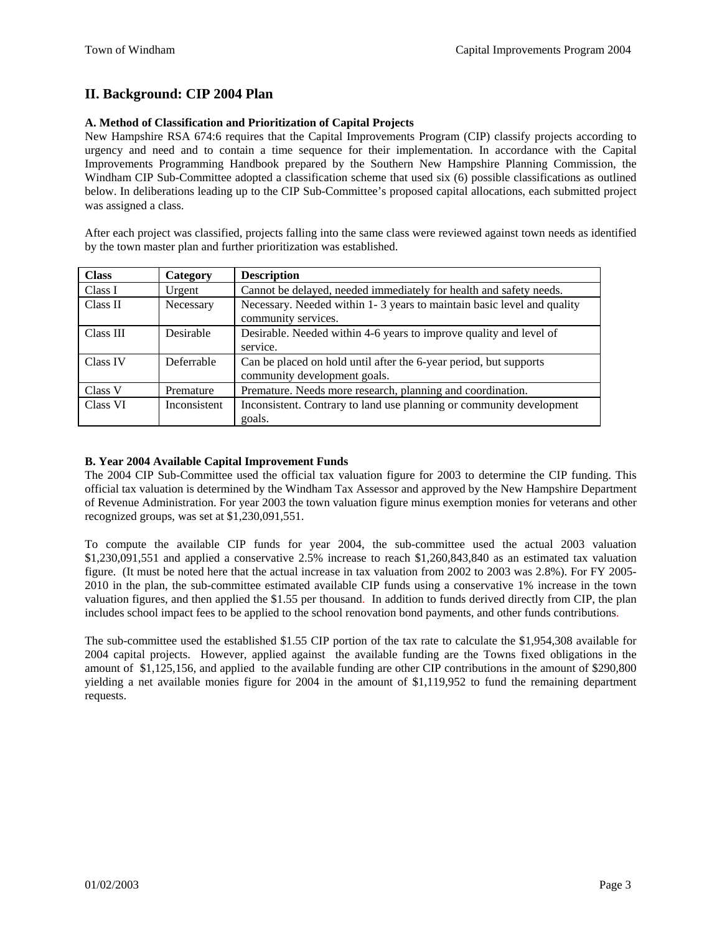## **II. Background: CIP 2004 Plan**

## **A. Method of Classification and Prioritization of Capital Projects**

New Hampshire RSA 674:6 requires that the Capital Improvements Program (CIP) classify projects according to urgency and need and to contain a time sequence for their implementation. In accordance with the Capital Improvements Programming Handbook prepared by the Southern New Hampshire Planning Commission, the Windham CIP Sub-Committee adopted a classification scheme that used six (6) possible classifications as outlined below. In deliberations leading up to the CIP Sub-Committee's proposed capital allocations, each submitted project was assigned a class.

After each project was classified, projects falling into the same class were reviewed against town needs as identified by the town master plan and further prioritization was established.

| <b>Class</b> | Category     | <b>Description</b>                                                                            |
|--------------|--------------|-----------------------------------------------------------------------------------------------|
| Class I      | Urgent       | Cannot be delayed, needed immediately for health and safety needs.                            |
| Class II     | Necessary    | Necessary. Needed within 1-3 years to maintain basic level and quality<br>community services. |
| Class III    | Desirable    | Desirable. Needed within 4-6 years to improve quality and level of                            |
|              |              | service.                                                                                      |
| Class IV     | Deferrable   | Can be placed on hold until after the 6-year period, but supports                             |
|              |              | community development goals.                                                                  |
| Class V      | Premature    | Premature. Needs more research, planning and coordination.                                    |
| Class VI     | Inconsistent | Inconsistent. Contrary to land use planning or community development                          |
|              |              | goals.                                                                                        |

### **B. Year 2004 Available Capital Improvement Funds**

The 2004 CIP Sub-Committee used the official tax valuation figure for 2003 to determine the CIP funding. This official tax valuation is determined by the Windham Tax Assessor and approved by the New Hampshire Department of Revenue Administration. For year 2003 the town valuation figure minus exemption monies for veterans and other recognized groups, was set at \$1,230,091,551.

To compute the available CIP funds for year 2004, the sub-committee used the actual 2003 valuation \$1,230,091,551 and applied a conservative 2.5% increase to reach \$1,260,843,840 as an estimated tax valuation figure. (It must be noted here that the actual increase in tax valuation from 2002 to 2003 was 2.8%). For FY 2005- 2010 in the plan, the sub-committee estimated available CIP funds using a conservative 1% increase in the town valuation figures, and then applied the \$1.55 per thousand. In addition to funds derived directly from CIP, the plan includes school impact fees to be applied to the school renovation bond payments, and other funds contributions.

The sub-committee used the established \$1.55 CIP portion of the tax rate to calculate the \$1,954,308 available for 2004 capital projects. However, applied against the available funding are the Towns fixed obligations in the amount of \$1,125,156, and applied to the available funding are other CIP contributions in the amount of \$290,800 yielding a net available monies figure for 2004 in the amount of \$1,119,952 to fund the remaining department requests.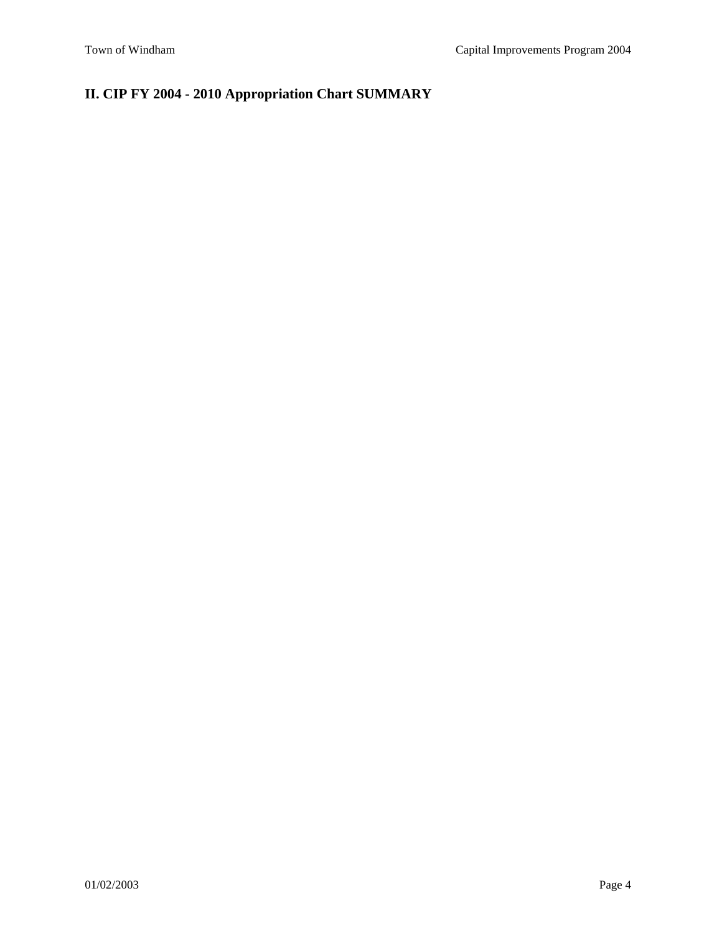# **II. CIP FY 2004 - 2010 Appropriation Chart SUMMARY**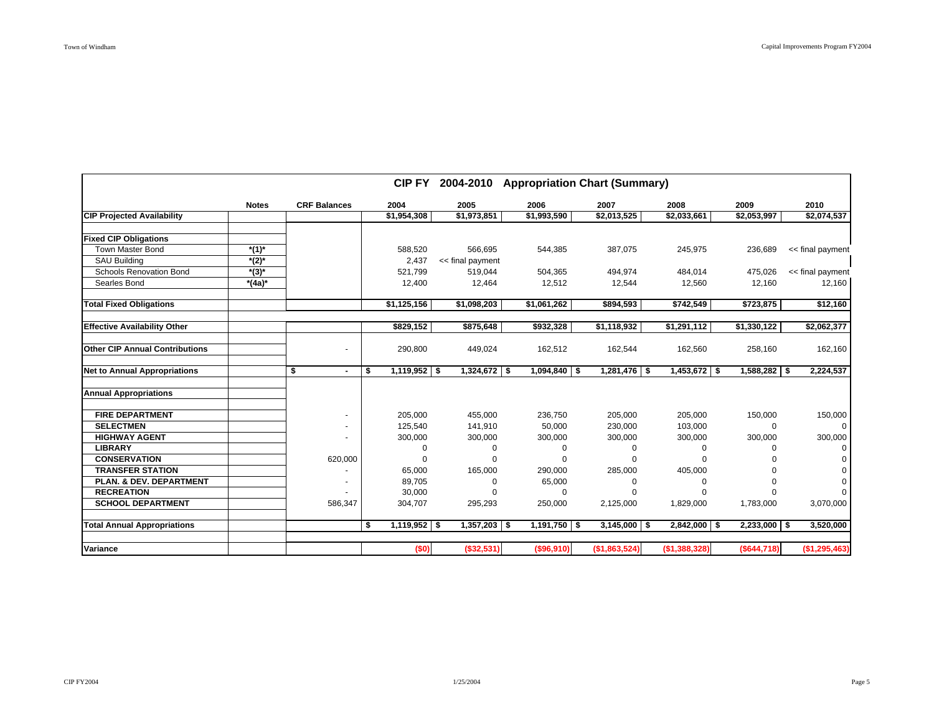|                                       |              |                     |                      |                  |                | CIP FY 2004-2010 Appropriation Chart (Summary) |                |                |                  |
|---------------------------------------|--------------|---------------------|----------------------|------------------|----------------|------------------------------------------------|----------------|----------------|------------------|
|                                       | <b>Notes</b> | <b>CRF Balances</b> | 2004                 | 2005             | 2006           | 2007                                           | 2008           | 2009           | 2010             |
| <b>CIP Projected Availability</b>     |              |                     | \$1,954,308          | \$1,973,851      | \$1,993,590    | \$2,013,525                                    | \$2,033,661    | \$2,053,997    | \$2,074,537      |
| <b>Fixed CIP Obligations</b>          |              |                     |                      |                  |                |                                                |                |                |                  |
| <b>Town Master Bond</b>               | $*(1)^*$     |                     | 588,520              | 566,695          | 544,385        | 387,075                                        | 245,975        | 236,689        | << final payment |
| <b>SAU Building</b>                   | $(2)^*$      |                     | 2,437                | << final payment |                |                                                |                |                |                  |
| <b>Schools Renovation Bond</b>        | *(3)*        |                     | 521.799              | 519,044          | 504,365        | 494,974                                        | 484,014        | 475,026        | << final payment |
| Searles Bond                          | *(4a)*       |                     | 12,400               | 12,464           | 12,512         | 12,544                                         | 12,560         | 12,160         | 12,160           |
| <b>Total Fixed Obligations</b>        |              |                     | \$1,125,156          | \$1,098,203      | \$1,061,262    | \$894,593                                      | \$742,549      | \$723,875      | $\sqrt{$12,160}$ |
| <b>Effective Availability Other</b>   |              |                     | \$829,152            | \$875,648        | \$932,328      | \$1,118,932                                    | \$1,291,112    | \$1,330,122    | \$2,062,377      |
| <b>Other CIP Annual Contributions</b> |              |                     | 290,800              | 449,024          | 162,512        | 162,544                                        | 162,560        | 258,160        | 162,160          |
| <b>Net to Annual Appropriations</b>   |              | \$                  | $1,119,952$ \$<br>\$ | $1,324,672$ \$   | $1,094,840$ \$ | $1,281,476$ \$                                 | $1,453,672$ \$ | $1,588,282$ \$ | 2,224,537        |
| <b>Annual Appropriations</b>          |              |                     |                      |                  |                |                                                |                |                |                  |
| <b>FIRE DEPARTMENT</b>                |              |                     | 205,000              | 455,000          | 236,750        | 205,000                                        | 205,000        | 150,000        | 150,000          |
| <b>SELECTMEN</b>                      |              |                     | 125,540              | 141,910          | 50,000         | 230,000                                        | 103,000        | $\Omega$       | $\Omega$         |
| <b>HIGHWAY AGENT</b>                  |              |                     | 300,000              | 300,000          | 300,000        | 300,000                                        | 300,000        | 300,000        | 300,000          |
| <b>LIBRARY</b>                        |              |                     | $\Omega$             | 0                | 0              | 0                                              | 0              | 0              | 0                |
| <b>CONSERVATION</b>                   |              | 620,000             | $\Omega$             |                  | 0              |                                                |                |                |                  |
| <b>TRANSFER STATION</b>               |              |                     | 65,000               | 165,000          | 290,000        | 285,000                                        | 405,000        |                |                  |
| PLAN. & DEV. DEPARTMENT               |              |                     | 89,705               | $\Omega$         | 65,000         |                                                | O              |                |                  |
| <b>RECREATION</b>                     |              |                     | 30,000               |                  | 0              |                                                | O              |                |                  |
| <b>SCHOOL DEPARTMENT</b>              |              | 586,347             | 304,707              | 295,293          | 250,000        | 2,125,000                                      | 1,829,000      | 1,783,000      | 3,070,000        |
| <b>Total Annual Appropriations</b>    |              |                     | $1,119,952$ \$<br>\$ | $1,357,203$ \$   | $1,191,750$ \$ | $3,145,000$ \$                                 | $2,842,000$ \$ | $2,233,000$ \$ | 3,520,000        |
| Variance                              |              |                     | (50)                 | (\$32,531)       | (\$96,910)     | (\$1,863,524)                                  | (\$1,388,328)  | (\$644,718)    | (\$1,295,463)    |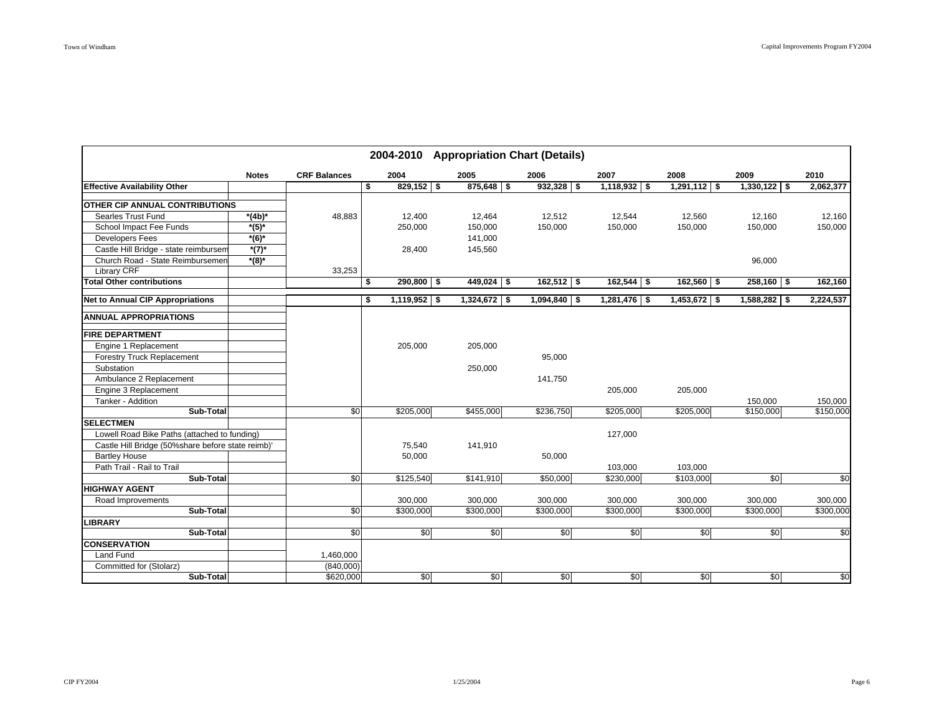|                                                   |              |                     |                      | 2004-2010 Appropriation Chart (Details) |                |                |                |                |           |
|---------------------------------------------------|--------------|---------------------|----------------------|-----------------------------------------|----------------|----------------|----------------|----------------|-----------|
|                                                   | <b>Notes</b> | <b>CRF Balances</b> | 2004                 | 2005                                    | 2006           | 2007           | 2008           | 2009           | 2010      |
| <b>Effective Availability Other</b>               |              |                     | $829,152$ \$<br>s.   | $875,648$ \$                            | $932,328$ \$   | $1,118,932$ \$ | $1,291,112$ \$ | $1,330,122$ \$ | 2,062,377 |
| <b>OTHER CIP ANNUAL CONTRIBUTIONS</b>             |              |                     |                      |                                         |                |                |                |                |           |
| Searles Trust Fund                                | $*(4b)*$     | 48,883              | 12,400               | 12,464                                  | 12,512         | 12,544         | 12,560         | 12,160         | 12,160    |
| School Impact Fee Funds                           | $*(5)^*$     |                     | 250,000              | 150,000                                 | 150,000        | 150,000        | 150,000        | 150,000        | 150,000   |
| <b>Developers Fees</b>                            | $*(6)^*$     |                     |                      | 141,000                                 |                |                |                |                |           |
| Castle Hill Bridge - state reimbursem             | $*(7)^*$     |                     | 28,400               | 145,560                                 |                |                |                |                |           |
| Church Road - State Reimbursemen                  | $*(8)^*$     |                     |                      |                                         |                |                |                | 96,000         |           |
| <b>Library CRF</b>                                |              | 33,253              |                      |                                         |                |                |                |                |           |
| <b>Total Other contributions</b>                  |              |                     | $290,800$ \$<br>\$   | $449,024$ \$                            | $162,512$ \$   | $162,544$ \$   | $162,560$ \ \$ | $258,160$ \$   | 162,160   |
| <b>Net to Annual CIP Appropriations</b>           |              |                     | $1,119,952$ \$<br>\$ | $1,324,672$ \$                          | $1,094,840$ \$ | $1,281,476$ \$ | $1,453,672$ \$ | $1,588,282$ \$ | 2,224,537 |
| <b>ANNUAL APPROPRIATIONS</b>                      |              |                     |                      |                                         |                |                |                |                |           |
| <b>FIRE DEPARTMENT</b>                            |              |                     |                      |                                         |                |                |                |                |           |
| Engine 1 Replacement                              |              |                     | 205,000              | 205,000                                 |                |                |                |                |           |
| Forestry Truck Replacement                        |              |                     |                      |                                         | 95,000         |                |                |                |           |
| Substation                                        |              |                     |                      | 250,000                                 |                |                |                |                |           |
| Ambulance 2 Replacement                           |              |                     |                      |                                         | 141,750        |                |                |                |           |
| Engine 3 Replacement                              |              |                     |                      |                                         |                | 205,000        | 205,000        |                |           |
| Tanker - Addition                                 |              |                     |                      |                                         |                |                |                | 150,000        | 150,000   |
| Sub-Total                                         |              | \$0                 | \$205,000            | \$455,000                               | \$236,750      | \$205,000      | \$205,000      | \$150,000      | \$150,000 |
| <b>SELECTMEN</b>                                  |              |                     |                      |                                         |                |                |                |                |           |
| Lowell Road Bike Paths (attached to funding)      |              |                     |                      |                                         |                | 127,000        |                |                |           |
| Castle Hill Bridge (50%share before state reimb)' |              |                     | 75,540               | 141,910                                 |                |                |                |                |           |
| <b>Bartley House</b>                              |              |                     | 50,000               |                                         | 50,000         |                |                |                |           |
| Path Trail - Rail to Trail                        |              |                     |                      |                                         |                | 103,000        | 103,000        |                |           |
| Sub-Total                                         |              | \$0                 | \$125,540            | \$141,910                               | \$50,000       | \$230,000      | \$103,000      | \$0            | \$0       |
| <b>HIGHWAY AGENT</b>                              |              |                     |                      |                                         |                |                |                |                |           |
| Road Improvements                                 |              |                     | 300,000              | 300,000                                 | 300,000        | 300,000        | 300,000        | 300,000        | 300,000   |
| Sub-Total                                         |              | \$0                 | \$300,000            | \$300,000                               | \$300,000      | \$300,000      | \$300,000      | \$300,000      | \$300,000 |
| <b>LIBRARY</b>                                    |              |                     |                      |                                         |                |                |                |                |           |
| Sub-Total                                         |              | \$0                 | \$0                  | \$0                                     | \$0            | \$0            | \$0            | \$0            | \$0       |
| <b>CONSERVATION</b>                               |              |                     |                      |                                         |                |                |                |                |           |
| <b>Land Fund</b>                                  |              | 1,460,000           |                      |                                         |                |                |                |                |           |
| Committed for (Stolarz)                           |              | (840,000)           |                      |                                         |                |                |                |                |           |
| Sub-Total                                         |              | \$620,000           | \$0                  | \$0                                     | \$0            | \$0            | \$0            | \$0            | \$0       |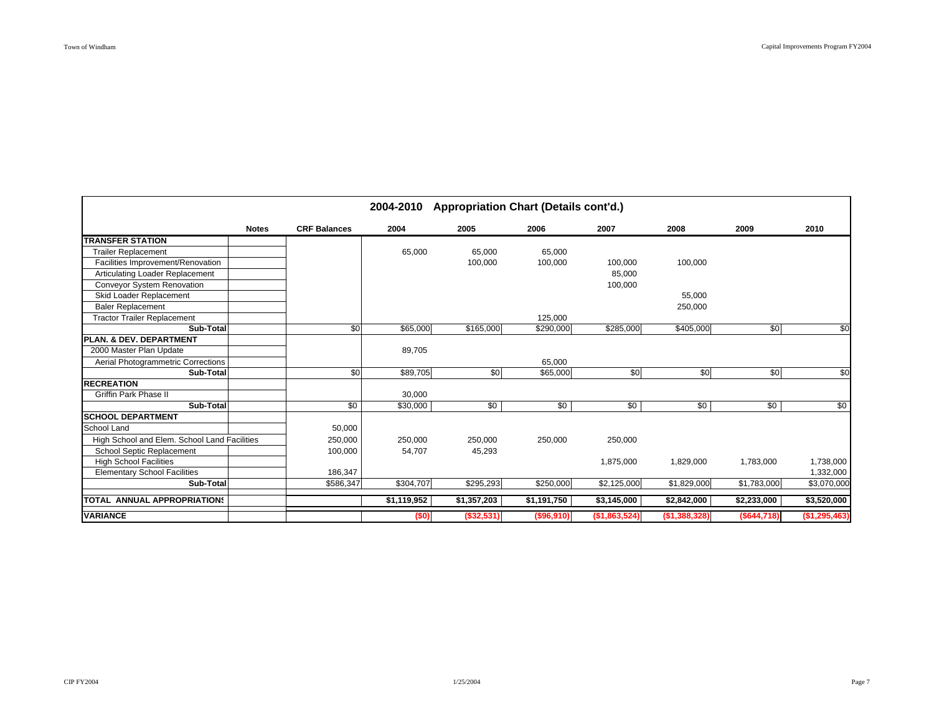|                                              | 2004-2010 Appropriation Chart (Details cont'd.) |                     |             |               |              |               |               |             |               |  |
|----------------------------------------------|-------------------------------------------------|---------------------|-------------|---------------|--------------|---------------|---------------|-------------|---------------|--|
|                                              | <b>Notes</b>                                    | <b>CRF Balances</b> | 2004        | 2005          | 2006         | 2007          | 2008          | 2009        | 2010          |  |
| <b>TRANSFER STATION</b>                      |                                                 |                     |             |               |              |               |               |             |               |  |
| <b>Trailer Replacement</b>                   |                                                 |                     | 65,000      | 65,000        | 65,000       |               |               |             |               |  |
| Facilities Improvement/Renovation            |                                                 |                     |             | 100,000       | 100,000      | 100,000       | 100,000       |             |               |  |
| Articulating Loader Replacement              |                                                 |                     |             |               |              | 85,000        |               |             |               |  |
| <b>Conveyor System Renovation</b>            |                                                 |                     |             |               |              | 100,000       |               |             |               |  |
| Skid Loader Replacement                      |                                                 |                     |             |               |              |               | 55,000        |             |               |  |
| <b>Baler Replacement</b>                     |                                                 |                     |             |               |              |               | 250,000       |             |               |  |
| <b>Tractor Trailer Replacement</b>           |                                                 |                     |             |               | 125,000      |               |               |             |               |  |
| Sub-Total                                    |                                                 | \$0                 | \$65,000    | \$165,000     | \$290,000    | \$285,000     | \$405,000     | \$0         | \$0           |  |
| PLAN. & DEV. DEPARTMENT                      |                                                 |                     |             |               |              |               |               |             |               |  |
| 2000 Master Plan Update                      |                                                 |                     | 89,705      |               |              |               |               |             |               |  |
| <b>Aerial Photogrammetric Corrections</b>    |                                                 |                     |             |               | 65,000       |               |               |             |               |  |
| Sub-Total                                    |                                                 | \$0                 | \$89,705    | \$0           | \$65,000     | \$0           | \$0           | \$0         | \$0           |  |
| <b>RECREATION</b>                            |                                                 |                     |             |               |              |               |               |             |               |  |
| <b>Griffin Park Phase II</b>                 |                                                 |                     | 30,000      |               |              |               |               |             |               |  |
| Sub-Total                                    |                                                 | \$0                 | \$30,000    | $\frac{6}{5}$ | $\sqrt{50}$  | \$0           | \$0           | \$0         | \$0           |  |
| <b>SCHOOL DEPARTMENT</b>                     |                                                 |                     |             |               |              |               |               |             |               |  |
| School Land                                  |                                                 | 50,000              |             |               |              |               |               |             |               |  |
| High School and Elem. School Land Facilities |                                                 | 250,000             | 250,000     | 250,000       | 250,000      | 250,000       |               |             |               |  |
| School Septic Replacement                    |                                                 | 100,000             | 54,707      | 45,293        |              |               |               |             |               |  |
| <b>High School Facilities</b>                |                                                 |                     |             |               |              | 1,875,000     | 1,829,000     | 1,783,000   | 1,738,000     |  |
| <b>Elementary School Facilities</b>          |                                                 | 186,347             |             |               |              |               |               |             | 1,332,000     |  |
| Sub-Total                                    |                                                 | \$586,347           | \$304,707   | \$295,293     | \$250,000    | \$2,125,000   | \$1,829,000   | \$1,783,000 | \$3,070,000   |  |
| TOTAL ANNUAL APPROPRIATIONS                  |                                                 |                     | \$1,119,952 | \$1,357,203   | \$1,191,750  | \$3,145,000   | \$2,842,000   | \$2,233,000 | \$3,520,000   |  |
| <b>VARIANCE</b>                              |                                                 |                     | (50)        | (\$32,531)    | ( \$96, 910] | (\$1,863,524) | (\$1,388,328) | (\$644,718) | (\$1,295,463) |  |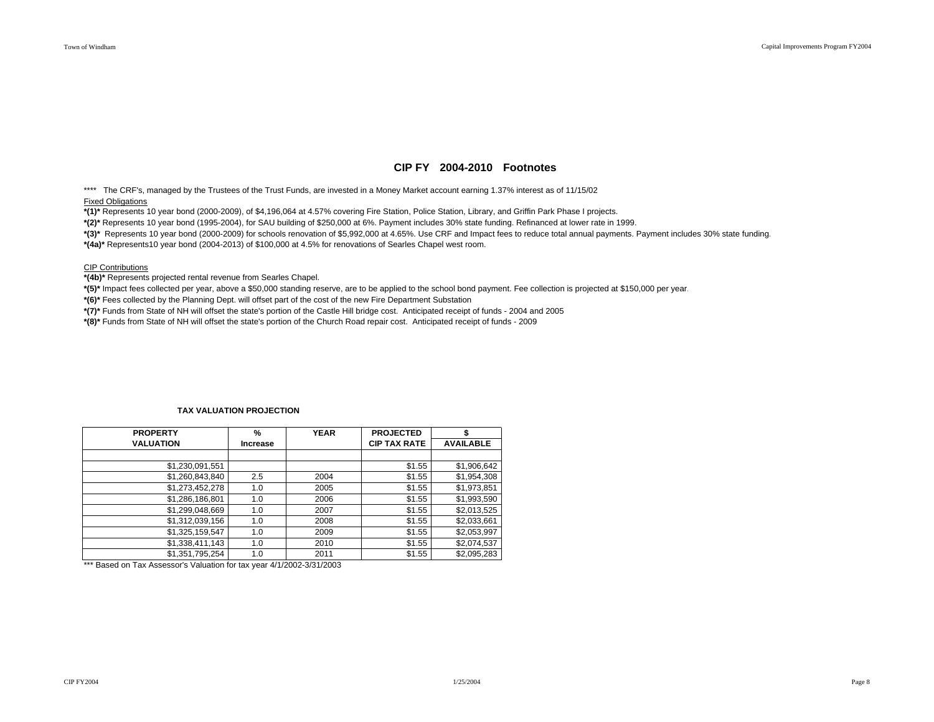#### **CIP FY 2004-2010 Footnotes**

\*\*\*\* The CRF's, managed by the Trustees of the Trust Funds, are invested in a Money Market account earning 1.37% interest as of 11/15/02 Fixed Obligations

**\*(1)\*** Represents 10 year bond (2000-2009), of \$4,196,064 at 4.57% covering Fire Station, Police Station, Library, and Griffin Park Phase I projects.

**\*(2)\*** Represents 10 year bond (1995-2004), for SAU building of \$250,000 at 6%. Payment includes 30% state funding. Refinanced at lower rate in 1999.

**\*(3)\*** Represents 10 year bond (2000-2009) for schools renovation of \$5,992,000 at 4.65%. Use CRF and Impact fees to reduce total annual payments. Payment includes 30% state funding.

**\*(4a)\*** Represents10 year bond (2004-2013) of \$100,000 at 4.5% for renovations of Searles Chapel west room.

#### CIP Contributions

**\*(4b)\*** Represents projected rental revenue from Searles Chapel.

**\*(5)\*** Impact fees collected per year, above a \$50,000 standing reserve, are to be applied to the school bond payment. Fee collection is projected at \$150,000 per year.

**\*(6)\*** Fees collected by the Planning Dept. will offset part of the cost of the new Fire Department Substation

**\*(7)\*** Funds from State of NH will offset the state's portion of the Castle Hill bridge cost. Anticipated receipt of funds - 2004 and 2005

**\*(8)\*** Funds from State of NH will offset the state's portion of the Church Road repair cost. Anticipated receipt of funds - 2009

| <b>PROPERTY</b>  | $\frac{0}{0}$   | <b>YEAR</b> | <b>PROJECTED</b>    |                  |
|------------------|-----------------|-------------|---------------------|------------------|
| <b>VALUATION</b> | <b>Increase</b> |             | <b>CIP TAX RATE</b> | <b>AVAILABLE</b> |
|                  |                 |             |                     |                  |
| \$1,230,091,551  |                 |             | \$1.55              | \$1,906,642      |
| \$1,260,843,840  | 2.5             | 2004        | \$1.55              | \$1,954,308      |
| \$1,273,452,278  | 1.0             | 2005        | \$1.55              | \$1,973,851      |
| \$1,286,186,801  | 1.0             | 2006        | \$1.55              | \$1,993,590      |
| \$1,299,048,669  | 1.0             | 2007        | \$1.55              | \$2,013,525      |
| \$1,312,039,156  | 1.0             | 2008        | \$1.55              | \$2,033,661      |
| \$1,325,159,547  | 1.0             | 2009        | \$1.55              | \$2,053,997      |
| \$1,338,411,143  | 1.0             | 2010        | \$1.55              | \$2,074,537      |
| \$1,351,795,254  | 1.0             | 2011        | \$1.55              | \$2,095,283      |

#### **TAX VALUATION PROJECTION**

\*\*\* Based on Tax Assessor's Valuation for tax year 4/1/2002-3/31/2003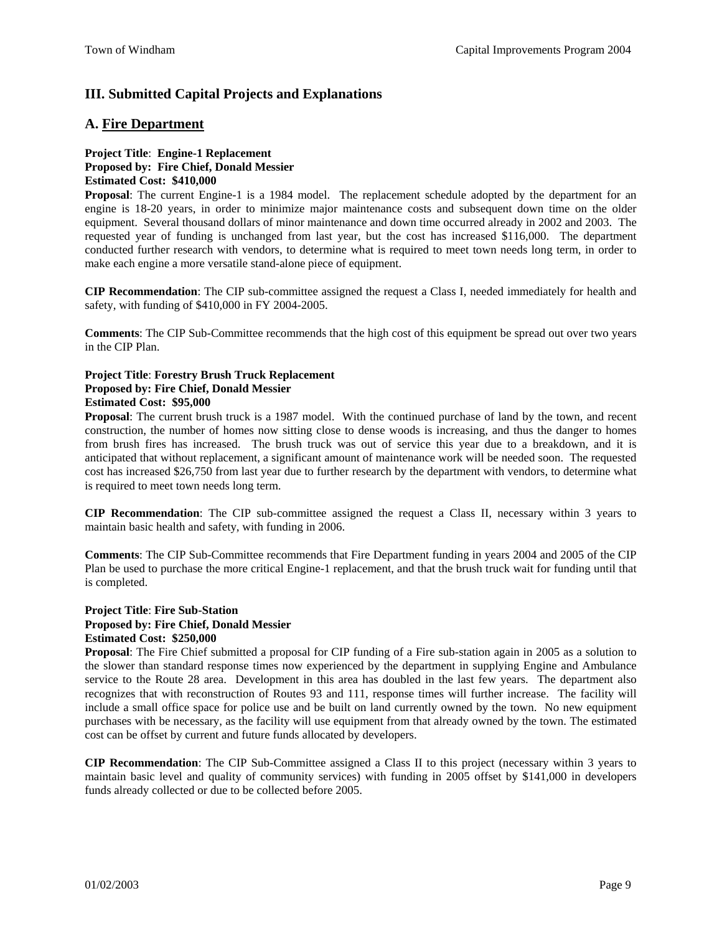# **III. Submitted Capital Projects and Explanations**

## **A. Fire Department**

### **Project Title**: **Engine-1 Replacement Proposed by: Fire Chief, Donald Messier Estimated Cost: \$410,000**

**Proposal**: The current Engine-1 is a 1984 model. The replacement schedule adopted by the department for an engine is 18-20 years, in order to minimize major maintenance costs and subsequent down time on the older equipment. Several thousand dollars of minor maintenance and down time occurred already in 2002 and 2003. The requested year of funding is unchanged from last year, but the cost has increased \$116,000. The department conducted further research with vendors, to determine what is required to meet town needs long term, in order to make each engine a more versatile stand-alone piece of equipment.

**CIP Recommendation**: The CIP sub-committee assigned the request a Class I, needed immediately for health and safety, with funding of \$410,000 in FY 2004-2005.

**Comments**: The CIP Sub-Committee recommends that the high cost of this equipment be spread out over two years in the CIP Plan.

## **Project Title**: **Forestry Brush Truck Replacement Proposed by: Fire Chief, Donald Messier Estimated Cost: \$95,000**

**Proposal**: The current brush truck is a 1987 model. With the continued purchase of land by the town, and recent construction, the number of homes now sitting close to dense woods is increasing, and thus the danger to homes from brush fires has increased. The brush truck was out of service this year due to a breakdown, and it is anticipated that without replacement, a significant amount of maintenance work will be needed soon. The requested cost has increased \$26,750 from last year due to further research by the department with vendors, to determine what is required to meet town needs long term.

**CIP Recommendation**: The CIP sub-committee assigned the request a Class II, necessary within 3 years to maintain basic health and safety, with funding in 2006.

**Comments**: The CIP Sub-Committee recommends that Fire Department funding in years 2004 and 2005 of the CIP Plan be used to purchase the more critical Engine-1 replacement, and that the brush truck wait for funding until that is completed.

### **Project Title**: **Fire Sub-Station Proposed by: Fire Chief, Donald Messier Estimated Cost: \$250,000**

**Proposal**: The Fire Chief submitted a proposal for CIP funding of a Fire sub-station again in 2005 as a solution to the slower than standard response times now experienced by the department in supplying Engine and Ambulance service to the Route 28 area. Development in this area has doubled in the last few years. The department also recognizes that with reconstruction of Routes 93 and 111, response times will further increase. The facility will include a small office space for police use and be built on land currently owned by the town. No new equipment purchases with be necessary, as the facility will use equipment from that already owned by the town. The estimated cost can be offset by current and future funds allocated by developers.

**CIP Recommendation**: The CIP Sub-Committee assigned a Class II to this project (necessary within 3 years to maintain basic level and quality of community services) with funding in 2005 offset by \$141,000 in developers funds already collected or due to be collected before 2005.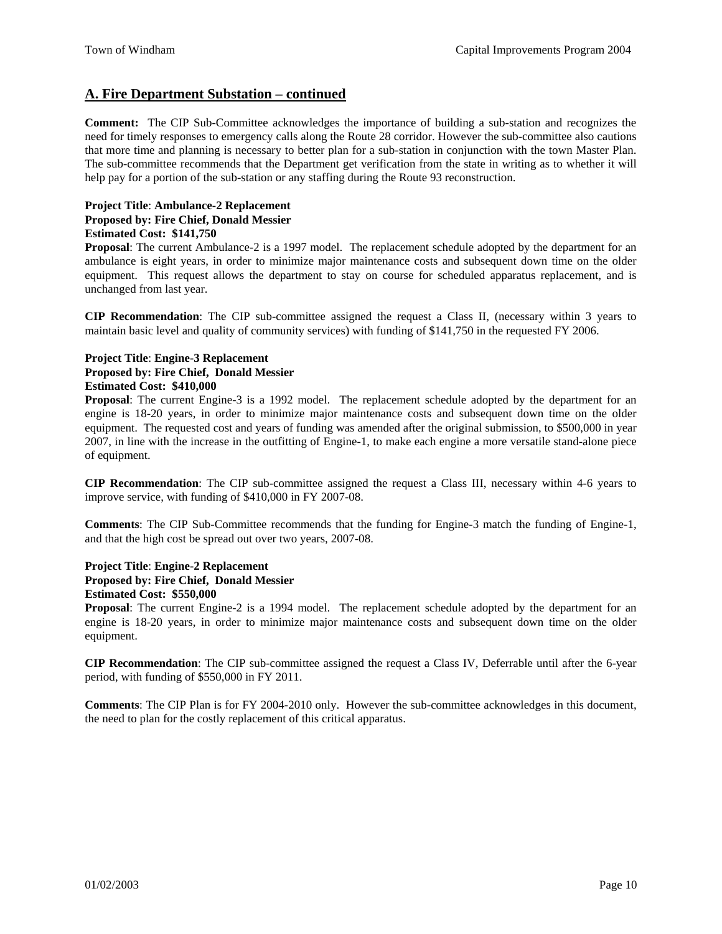## **A. Fire Department Substation – continued**

**Comment:** The CIP Sub-Committee acknowledges the importance of building a sub-station and recognizes the need for timely responses to emergency calls along the Route 28 corridor. However the sub-committee also cautions that more time and planning is necessary to better plan for a sub-station in conjunction with the town Master Plan. The sub-committee recommends that the Department get verification from the state in writing as to whether it will help pay for a portion of the sub-station or any staffing during the Route 93 reconstruction.

### **Project Title**: **Ambulance-2 Replacement Proposed by: Fire Chief, Donald Messier Estimated Cost: \$141,750**

**Proposal**: The current Ambulance-2 is a 1997 model. The replacement schedule adopted by the department for an ambulance is eight years, in order to minimize major maintenance costs and subsequent down time on the older equipment. This request allows the department to stay on course for scheduled apparatus replacement, and is unchanged from last year.

**CIP Recommendation**: The CIP sub-committee assigned the request a Class II, (necessary within 3 years to maintain basic level and quality of community services) with funding of \$141,750 in the requested FY 2006.

## **Project Title**: **Engine-3 Replacement Proposed by: Fire Chief, Donald Messier Estimated Cost: \$410,000**

**Proposal**: The current Engine-3 is a 1992 model. The replacement schedule adopted by the department for an engine is 18-20 years, in order to minimize major maintenance costs and subsequent down time on the older equipment. The requested cost and years of funding was amended after the original submission, to \$500,000 in year 2007, in line with the increase in the outfitting of Engine-1, to make each engine a more versatile stand-alone piece of equipment.

**CIP Recommendation**: The CIP sub-committee assigned the request a Class III, necessary within 4-6 years to improve service, with funding of \$410,000 in FY 2007-08.

**Comments**: The CIP Sub-Committee recommends that the funding for Engine-3 match the funding of Engine-1, and that the high cost be spread out over two years, 2007-08.

### **Project Title**: **Engine-2 Replacement Proposed by: Fire Chief, Donald Messier Estimated Cost: \$550,000**

**Proposal**: The current Engine-2 is a 1994 model. The replacement schedule adopted by the department for an engine is 18-20 years, in order to minimize major maintenance costs and subsequent down time on the older equipment.

**CIP Recommendation**: The CIP sub-committee assigned the request a Class IV, Deferrable until after the 6-year period, with funding of \$550,000 in FY 2011.

**Comments**: The CIP Plan is for FY 2004-2010 only. However the sub-committee acknowledges in this document, the need to plan for the costly replacement of this critical apparatus.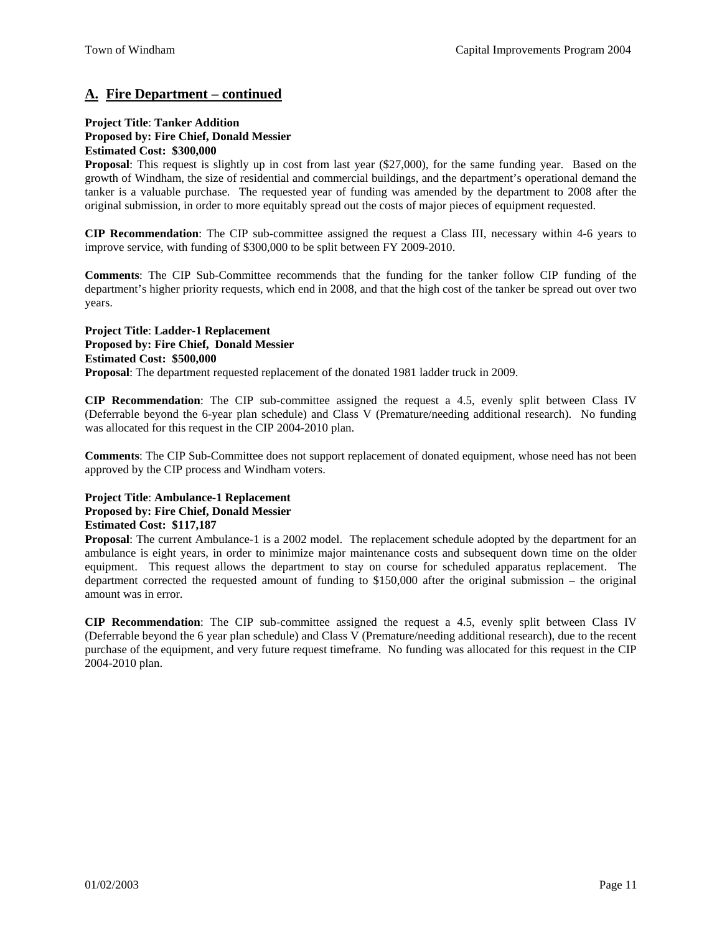## **A. Fire Department – continued**

### **Project Title**: **Tanker Addition Proposed by: Fire Chief, Donald Messier Estimated Cost: \$300,000**

**Proposal:** This request is slightly up in cost from last year (\$27,000), for the same funding year. Based on the growth of Windham, the size of residential and commercial buildings, and the department's operational demand the tanker is a valuable purchase. The requested year of funding was amended by the department to 2008 after the original submission, in order to more equitably spread out the costs of major pieces of equipment requested.

**CIP Recommendation**: The CIP sub-committee assigned the request a Class III, necessary within 4-6 years to improve service, with funding of \$300,000 to be split between FY 2009-2010.

**Comments**: The CIP Sub-Committee recommends that the funding for the tanker follow CIP funding of the department's higher priority requests, which end in 2008, and that the high cost of the tanker be spread out over two years.

## **Project Title**: **Ladder-1 Replacement Proposed by: Fire Chief, Donald Messier Estimated Cost: \$500,000**

**Proposal**: The department requested replacement of the donated 1981 ladder truck in 2009.

**CIP Recommendation**: The CIP sub-committee assigned the request a 4.5, evenly split between Class IV (Deferrable beyond the 6-year plan schedule) and Class V (Premature/needing additional research). No funding was allocated for this request in the CIP 2004-2010 plan.

**Comments**: The CIP Sub-Committee does not support replacement of donated equipment, whose need has not been approved by the CIP process and Windham voters.

## **Project Title**: **Ambulance-1 Replacement Proposed by: Fire Chief, Donald Messier Estimated Cost: \$117,187**

**Proposal**: The current Ambulance-1 is a 2002 model. The replacement schedule adopted by the department for an ambulance is eight years, in order to minimize major maintenance costs and subsequent down time on the older equipment. This request allows the department to stay on course for scheduled apparatus replacement. The department corrected the requested amount of funding to \$150,000 after the original submission – the original amount was in error.

**CIP Recommendation**: The CIP sub-committee assigned the request a 4.5, evenly split between Class IV (Deferrable beyond the 6 year plan schedule) and Class V (Premature/needing additional research), due to the recent purchase of the equipment, and very future request timeframe. No funding was allocated for this request in the CIP 2004-2010 plan.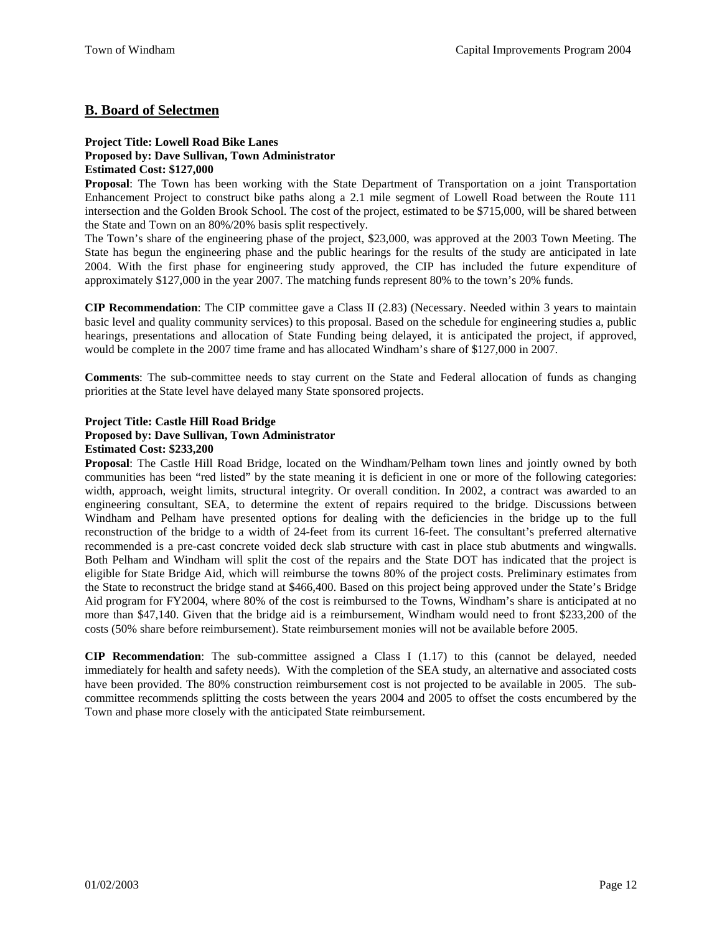## **B. Board of Selectmen**

### **Project Title: Lowell Road Bike Lanes Proposed by: Dave Sullivan, Town Administrator Estimated Cost: \$127,000**

**Proposal**: The Town has been working with the State Department of Transportation on a joint Transportation Enhancement Project to construct bike paths along a 2.1 mile segment of Lowell Road between the Route 111 intersection and the Golden Brook School. The cost of the project, estimated to be \$715,000, will be shared between the State and Town on an 80%/20% basis split respectively.

The Town's share of the engineering phase of the project, \$23,000, was approved at the 2003 Town Meeting. The State has begun the engineering phase and the public hearings for the results of the study are anticipated in late 2004. With the first phase for engineering study approved, the CIP has included the future expenditure of approximately \$127,000 in the year 2007. The matching funds represent 80% to the town's 20% funds.

**CIP Recommendation**: The CIP committee gave a Class II (2.83) (Necessary. Needed within 3 years to maintain basic level and quality community services) to this proposal. Based on the schedule for engineering studies a, public hearings, presentations and allocation of State Funding being delayed, it is anticipated the project, if approved, would be complete in the 2007 time frame and has allocated Windham's share of \$127,000 in 2007.

**Comments**: The sub-committee needs to stay current on the State and Federal allocation of funds as changing priorities at the State level have delayed many State sponsored projects.

### **Project Title: Castle Hill Road Bridge**

### **Proposed by: Dave Sullivan, Town Administrator**

#### **Estimated Cost: \$233,200**

**Proposal**: The Castle Hill Road Bridge, located on the Windham/Pelham town lines and jointly owned by both communities has been "red listed" by the state meaning it is deficient in one or more of the following categories: width, approach, weight limits, structural integrity. Or overall condition. In 2002, a contract was awarded to an engineering consultant, SEA, to determine the extent of repairs required to the bridge. Discussions between Windham and Pelham have presented options for dealing with the deficiencies in the bridge up to the full reconstruction of the bridge to a width of 24-feet from its current 16-feet. The consultant's preferred alternative recommended is a pre-cast concrete voided deck slab structure with cast in place stub abutments and wingwalls. Both Pelham and Windham will split the cost of the repairs and the State DOT has indicated that the project is eligible for State Bridge Aid, which will reimburse the towns 80% of the project costs. Preliminary estimates from the State to reconstruct the bridge stand at \$466,400. Based on this project being approved under the State's Bridge Aid program for FY2004, where 80% of the cost is reimbursed to the Towns, Windham's share is anticipated at no more than \$47,140. Given that the bridge aid is a reimbursement, Windham would need to front \$233,200 of the costs (50% share before reimbursement). State reimbursement monies will not be available before 2005.

**CIP Recommendation**: The sub-committee assigned a Class I (1.17) to this (cannot be delayed, needed immediately for health and safety needs). With the completion of the SEA study, an alternative and associated costs have been provided. The 80% construction reimbursement cost is not projected to be available in 2005. The subcommittee recommends splitting the costs between the years 2004 and 2005 to offset the costs encumbered by the Town and phase more closely with the anticipated State reimbursement.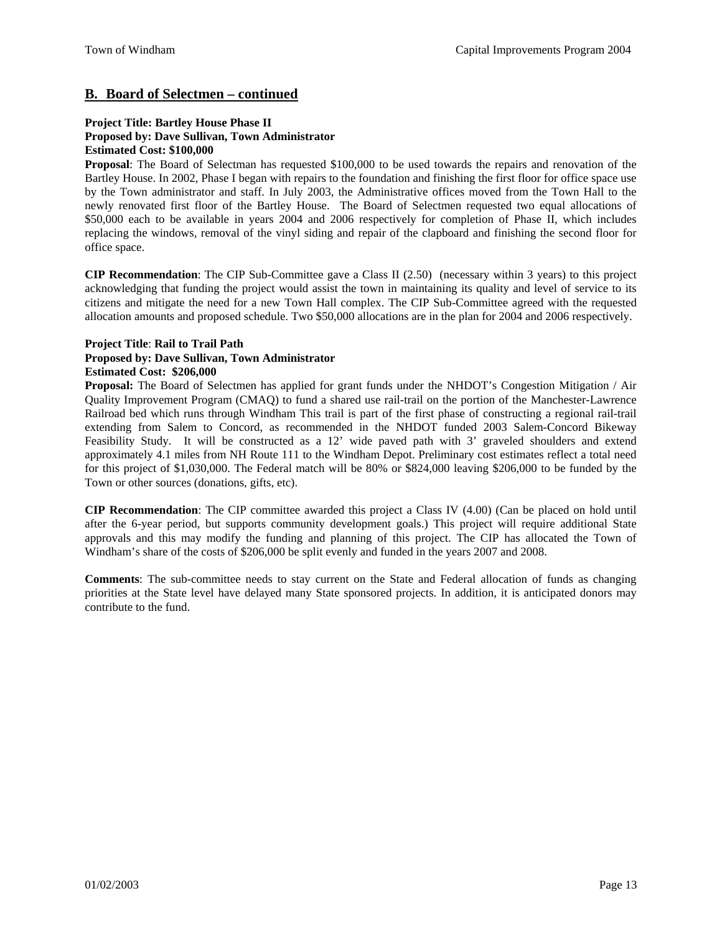## **B. Board of Selectmen – continued**

#### **Project Title: Bartley House Phase II Proposed by: Dave Sullivan, Town Administrator Estimated Cost: \$100,000**

**Proposal**: The Board of Selectman has requested \$100,000 to be used towards the repairs and renovation of the Bartley House. In 2002, Phase I began with repairs to the foundation and finishing the first floor for office space use by the Town administrator and staff. In July 2003, the Administrative offices moved from the Town Hall to the newly renovated first floor of the Bartley House. The Board of Selectmen requested two equal allocations of \$50,000 each to be available in years 2004 and 2006 respectively for completion of Phase II, which includes replacing the windows, removal of the vinyl siding and repair of the clapboard and finishing the second floor for office space.

**CIP Recommendation**: The CIP Sub-Committee gave a Class II (2.50) (necessary within 3 years) to this project acknowledging that funding the project would assist the town in maintaining its quality and level of service to its citizens and mitigate the need for a new Town Hall complex. The CIP Sub-Committee agreed with the requested allocation amounts and proposed schedule. Two \$50,000 allocations are in the plan for 2004 and 2006 respectively.

## **Project Title**: **Rail to Trail Path**

## **Proposed by: Dave Sullivan, Town Administrator**

### **Estimated Cost: \$206,000**

**Proposal:** The Board of Selectmen has applied for grant funds under the NHDOT's Congestion Mitigation / Air Quality Improvement Program (CMAQ) to fund a shared use rail-trail on the portion of the Manchester-Lawrence Railroad bed which runs through Windham This trail is part of the first phase of constructing a regional rail-trail extending from Salem to Concord, as recommended in the NHDOT funded 2003 Salem-Concord Bikeway Feasibility Study. It will be constructed as a 12' wide paved path with 3' graveled shoulders and extend approximately 4.1 miles from NH Route 111 to the Windham Depot. Preliminary cost estimates reflect a total need for this project of \$1,030,000. The Federal match will be 80% or \$824,000 leaving \$206,000 to be funded by the Town or other sources (donations, gifts, etc).

**CIP Recommendation**: The CIP committee awarded this project a Class IV (4.00) (Can be placed on hold until after the 6-year period, but supports community development goals.) This project will require additional State approvals and this may modify the funding and planning of this project. The CIP has allocated the Town of Windham's share of the costs of \$206,000 be split evenly and funded in the years 2007 and 2008.

**Comments**: The sub-committee needs to stay current on the State and Federal allocation of funds as changing priorities at the State level have delayed many State sponsored projects. In addition, it is anticipated donors may contribute to the fund.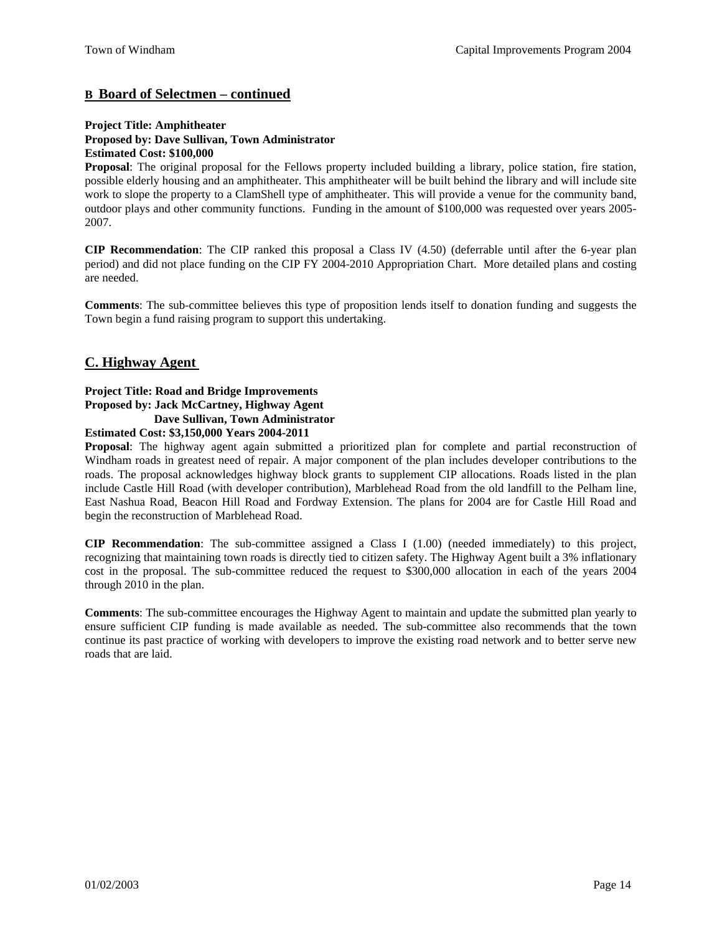## **B Board of Selectmen – continued**

#### **Project Title: Amphitheater**

### **Proposed by: Dave Sullivan, Town Administrator**

#### **Estimated Cost: \$100,000**

**Proposal**: The original proposal for the Fellows property included building a library, police station, fire station, possible elderly housing and an amphitheater. This amphitheater will be built behind the library and will include site work to slope the property to a ClamShell type of amphitheater. This will provide a venue for the community band, outdoor plays and other community functions. Funding in the amount of \$100,000 was requested over years 2005- 2007.

**CIP Recommendation**: The CIP ranked this proposal a Class IV (4.50) (deferrable until after the 6-year plan period) and did not place funding on the CIP FY 2004-2010 Appropriation Chart. More detailed plans and costing are needed.

**Comments**: The sub-committee believes this type of proposition lends itself to donation funding and suggests the Town begin a fund raising program to support this undertaking.

## **C. Highway Agent**

## **Project Title: Road and Bridge Improvements Proposed by: Jack McCartney, Highway Agent Dave Sullivan, Town Administrator**

### **Estimated Cost: \$3,150,000 Years 2004-2011**

**Proposal**: The highway agent again submitted a prioritized plan for complete and partial reconstruction of Windham roads in greatest need of repair. A major component of the plan includes developer contributions to the roads. The proposal acknowledges highway block grants to supplement CIP allocations. Roads listed in the plan include Castle Hill Road (with developer contribution), Marblehead Road from the old landfill to the Pelham line, East Nashua Road, Beacon Hill Road and Fordway Extension. The plans for 2004 are for Castle Hill Road and begin the reconstruction of Marblehead Road.

**CIP Recommendation**: The sub-committee assigned a Class I (1.00) (needed immediately) to this project, recognizing that maintaining town roads is directly tied to citizen safety. The Highway Agent built a 3% inflationary cost in the proposal. The sub-committee reduced the request to \$300,000 allocation in each of the years 2004 through 2010 in the plan.

**Comments**: The sub-committee encourages the Highway Agent to maintain and update the submitted plan yearly to ensure sufficient CIP funding is made available as needed. The sub-committee also recommends that the town continue its past practice of working with developers to improve the existing road network and to better serve new roads that are laid.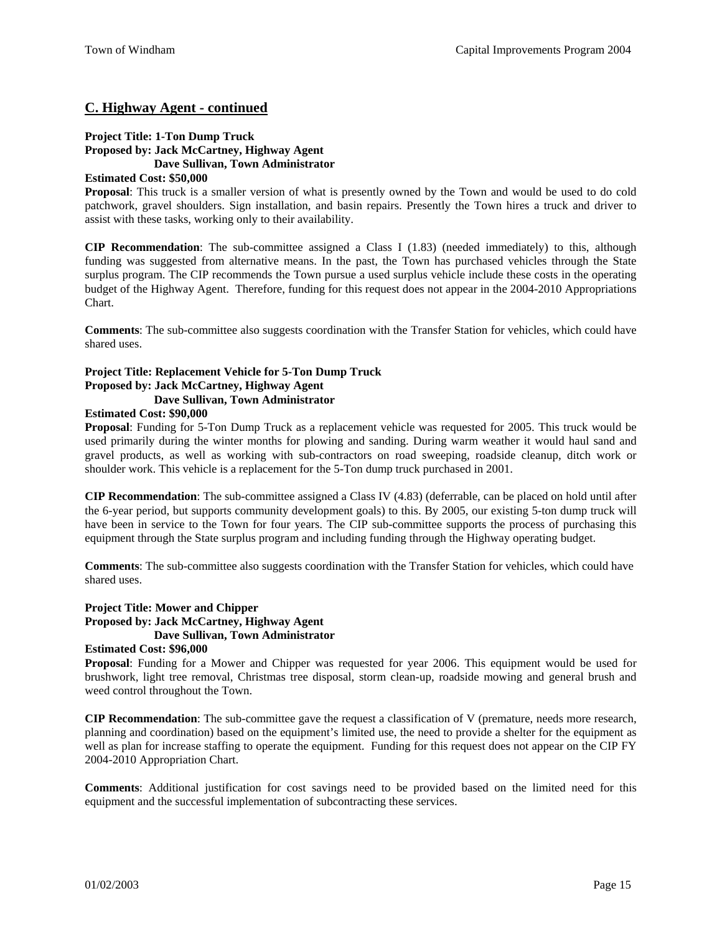## **C. Highway Agent - continued**

## **Project Title: 1-Ton Dump Truck Proposed by: Jack McCartney, Highway Agent Dave Sullivan, Town Administrator**

### **Estimated Cost: \$50,000**

**Proposal**: This truck is a smaller version of what is presently owned by the Town and would be used to do cold patchwork, gravel shoulders. Sign installation, and basin repairs. Presently the Town hires a truck and driver to assist with these tasks, working only to their availability.

**CIP Recommendation**: The sub-committee assigned a Class I (1.83) (needed immediately) to this, although funding was suggested from alternative means. In the past, the Town has purchased vehicles through the State surplus program. The CIP recommends the Town pursue a used surplus vehicle include these costs in the operating budget of the Highway Agent. Therefore, funding for this request does not appear in the 2004-2010 Appropriations Chart.

**Comments**: The sub-committee also suggests coordination with the Transfer Station for vehicles, which could have shared uses.

#### **Project Title: Replacement Vehicle for 5-Ton Dump Truck Proposed by: Jack McCartney, Highway Agent Dave Sullivan, Town Administrator**

#### **Estimated Cost: \$90,000**

**Proposal**: Funding for 5-Ton Dump Truck as a replacement vehicle was requested for 2005. This truck would be used primarily during the winter months for plowing and sanding. During warm weather it would haul sand and gravel products, as well as working with sub-contractors on road sweeping, roadside cleanup, ditch work or shoulder work. This vehicle is a replacement for the 5-Ton dump truck purchased in 2001.

**CIP Recommendation**: The sub-committee assigned a Class IV (4.83) (deferrable, can be placed on hold until after the 6-year period, but supports community development goals) to this. By 2005, our existing 5-ton dump truck will have been in service to the Town for four years. The CIP sub-committee supports the process of purchasing this equipment through the State surplus program and including funding through the Highway operating budget.

**Comments**: The sub-committee also suggests coordination with the Transfer Station for vehicles, which could have shared uses.

## **Project Title: Mower and Chipper Proposed by: Jack McCartney, Highway Agent Dave Sullivan, Town Administrator**

### **Estimated Cost: \$96,000**

**Proposal**: Funding for a Mower and Chipper was requested for year 2006. This equipment would be used for brushwork, light tree removal, Christmas tree disposal, storm clean-up, roadside mowing and general brush and weed control throughout the Town.

**CIP Recommendation**: The sub-committee gave the request a classification of V (premature, needs more research, planning and coordination) based on the equipment's limited use, the need to provide a shelter for the equipment as well as plan for increase staffing to operate the equipment. Funding for this request does not appear on the CIP FY 2004-2010 Appropriation Chart.

**Comments**: Additional justification for cost savings need to be provided based on the limited need for this equipment and the successful implementation of subcontracting these services.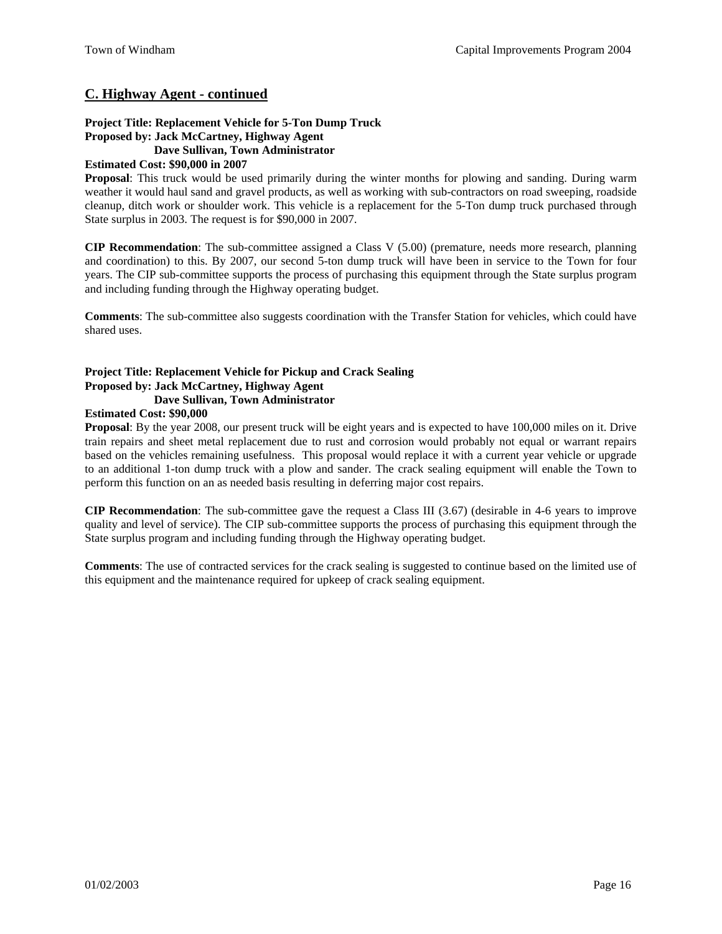## **C. Highway Agent - continued**

#### **Project Title: Replacement Vehicle for 5-Ton Dump Truck Proposed by: Jack McCartney, Highway Agent Dave Sullivan, Town Administrator**

#### **Estimated Cost: \$90,000 in 2007**

**Proposal**: This truck would be used primarily during the winter months for plowing and sanding. During warm weather it would haul sand and gravel products, as well as working with sub-contractors on road sweeping, roadside cleanup, ditch work or shoulder work. This vehicle is a replacement for the 5-Ton dump truck purchased through State surplus in 2003. The request is for \$90,000 in 2007.

**CIP Recommendation**: The sub-committee assigned a Class V (5.00) (premature, needs more research, planning and coordination) to this. By 2007, our second 5-ton dump truck will have been in service to the Town for four years. The CIP sub-committee supports the process of purchasing this equipment through the State surplus program and including funding through the Highway operating budget.

**Comments**: The sub-committee also suggests coordination with the Transfer Station for vehicles, which could have shared uses.

#### **Project Title: Replacement Vehicle for Pickup and Crack Sealing Proposed by: Jack McCartney, Highway Agent Dave Sullivan, Town Administrator**

#### **Estimated Cost: \$90,000**

**Proposal**: By the year 2008, our present truck will be eight years and is expected to have 100,000 miles on it. Drive train repairs and sheet metal replacement due to rust and corrosion would probably not equal or warrant repairs based on the vehicles remaining usefulness. This proposal would replace it with a current year vehicle or upgrade to an additional 1-ton dump truck with a plow and sander. The crack sealing equipment will enable the Town to perform this function on an as needed basis resulting in deferring major cost repairs.

**CIP Recommendation**: The sub-committee gave the request a Class III (3.67) (desirable in 4-6 years to improve quality and level of service). The CIP sub-committee supports the process of purchasing this equipment through the State surplus program and including funding through the Highway operating budget.

**Comments**: The use of contracted services for the crack sealing is suggested to continue based on the limited use of this equipment and the maintenance required for upkeep of crack sealing equipment.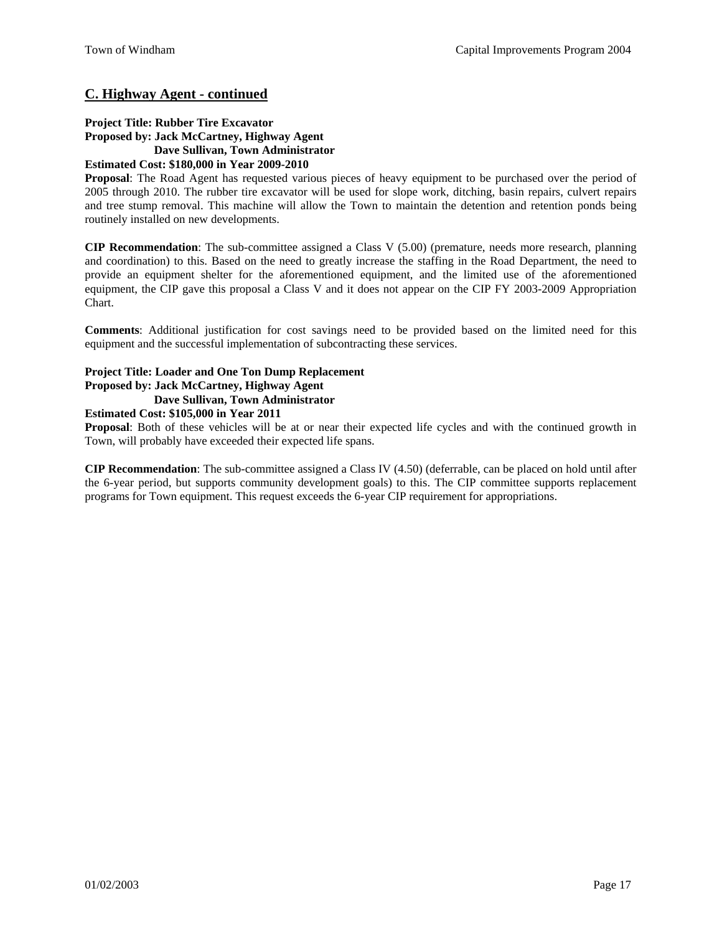## **C. Highway Agent - continued**

#### **Project Title: Rubber Tire Excavator Proposed by: Jack McCartney, Highway Agent Dave Sullivan, Town Administrator Estimated Cost: \$180,000 in Year 2009-2010**

**Proposal**: The Road Agent has requested various pieces of heavy equipment to be purchased over the period of 2005 through 2010. The rubber tire excavator will be used for slope work, ditching, basin repairs, culvert repairs and tree stump removal. This machine will allow the Town to maintain the detention and retention ponds being routinely installed on new developments.

**CIP Recommendation**: The sub-committee assigned a Class V (5.00) (premature, needs more research, planning and coordination) to this. Based on the need to greatly increase the staffing in the Road Department, the need to provide an equipment shelter for the aforementioned equipment, and the limited use of the aforementioned equipment, the CIP gave this proposal a Class V and it does not appear on the CIP FY 2003-2009 Appropriation Chart.

**Comments**: Additional justification for cost savings need to be provided based on the limited need for this equipment and the successful implementation of subcontracting these services.

#### **Project Title: Loader and One Ton Dump Replacement Proposed by: Jack McCartney, Highway Agent**

 **Dave Sullivan, Town Administrator**

**Estimated Cost: \$105,000 in Year 2011**

**Proposal**: Both of these vehicles will be at or near their expected life cycles and with the continued growth in Town, will probably have exceeded their expected life spans.

**CIP Recommendation**: The sub-committee assigned a Class IV (4.50) (deferrable, can be placed on hold until after the 6-year period, but supports community development goals) to this. The CIP committee supports replacement programs for Town equipment. This request exceeds the 6-year CIP requirement for appropriations.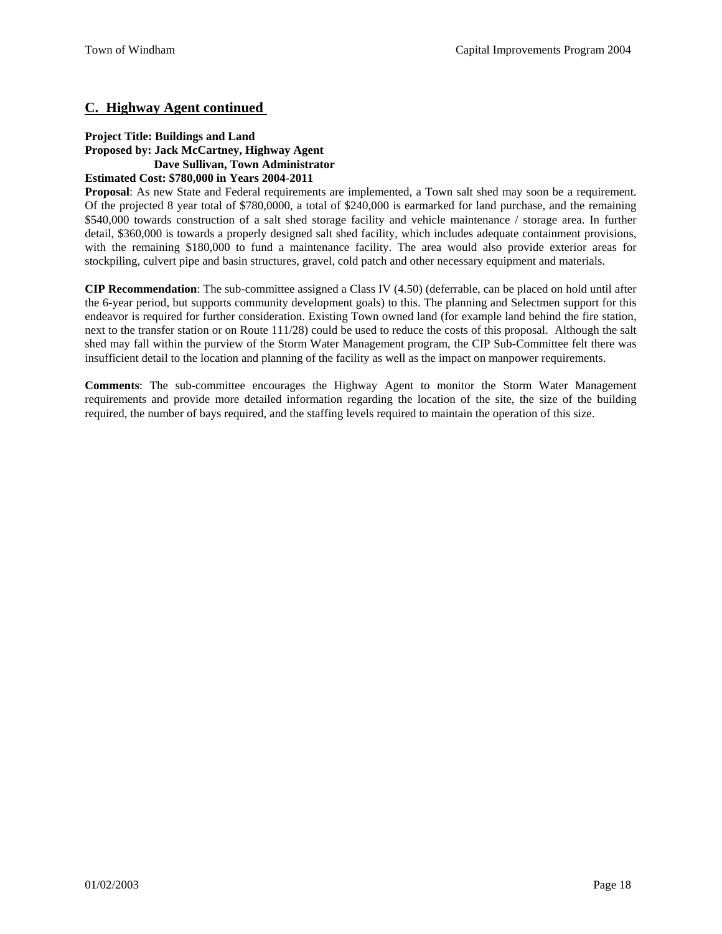## **C. Highway Agent continued**

## **Project Title: Buildings and Land Proposed by: Jack McCartney, Highway Agent Dave Sullivan, Town Administrator**

## **Estimated Cost: \$780,000 in Years 2004-2011**

**Proposal**: As new State and Federal requirements are implemented, a Town salt shed may soon be a requirement. Of the projected 8 year total of \$780,0000, a total of \$240,000 is earmarked for land purchase, and the remaining \$540,000 towards construction of a salt shed storage facility and vehicle maintenance / storage area. In further detail, \$360,000 is towards a properly designed salt shed facility, which includes adequate containment provisions, with the remaining \$180,000 to fund a maintenance facility. The area would also provide exterior areas for stockpiling, culvert pipe and basin structures, gravel, cold patch and other necessary equipment and materials.

**CIP Recommendation**: The sub-committee assigned a Class IV (4.50) (deferrable, can be placed on hold until after the 6-year period, but supports community development goals) to this. The planning and Selectmen support for this endeavor is required for further consideration. Existing Town owned land (for example land behind the fire station, next to the transfer station or on Route 111/28) could be used to reduce the costs of this proposal. Although the salt shed may fall within the purview of the Storm Water Management program, the CIP Sub-Committee felt there was insufficient detail to the location and planning of the facility as well as the impact on manpower requirements.

**Comments**: The sub-committee encourages the Highway Agent to monitor the Storm Water Management requirements and provide more detailed information regarding the location of the site, the size of the building required, the number of bays required, and the staffing levels required to maintain the operation of this size.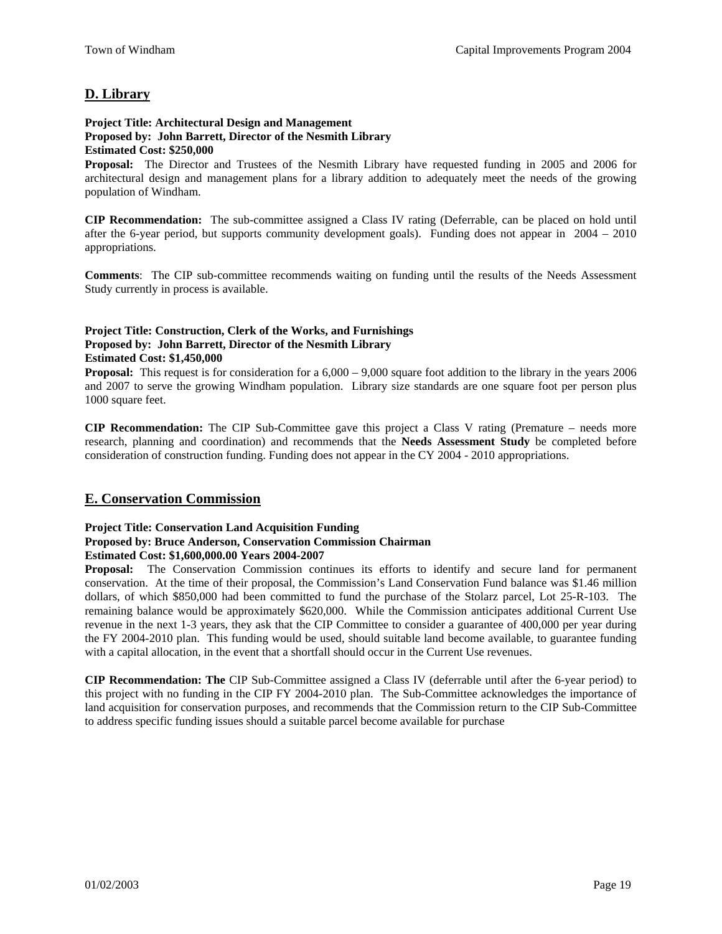## **D. Library**

### **Project Title: Architectural Design and Management Proposed by: John Barrett, Director of the Nesmith Library Estimated Cost: \$250,000**

**Proposal:** The Director and Trustees of the Nesmith Library have requested funding in 2005 and 2006 for architectural design and management plans for a library addition to adequately meet the needs of the growing population of Windham.

**CIP Recommendation:** The sub-committee assigned a Class IV rating (Deferrable, can be placed on hold until after the 6-year period, but supports community development goals). Funding does not appear in 2004 – 2010 appropriations.

**Comments**: The CIP sub-committee recommends waiting on funding until the results of the Needs Assessment Study currently in process is available.

### **Project Title: Construction, Clerk of the Works, and Furnishings Proposed by: John Barrett, Director of the Nesmith Library Estimated Cost: \$1,450,000**

**Proposal:** This request is for consideration for a 6,000 – 9,000 square foot addition to the library in the years 2006 and 2007 to serve the growing Windham population. Library size standards are one square foot per person plus 1000 square feet.

**CIP Recommendation:** The CIP Sub-Committee gave this project a Class V rating (Premature – needs more research, planning and coordination) and recommends that the **Needs Assessment Study** be completed before consideration of construction funding. Funding does not appear in the CY 2004 - 2010 appropriations.

## **E. Conservation Commission**

### **Project Title: Conservation Land Acquisition Funding**

#### **Proposed by: Bruce Anderson, Conservation Commission Chairman Estimated Cost: \$1,600,000.00 Years 2004-2007**

**Proposal:** The Conservation Commission continues its efforts to identify and secure land for permanent conservation. At the time of their proposal, the Commission's Land Conservation Fund balance was \$1.46 million dollars, of which \$850,000 had been committed to fund the purchase of the Stolarz parcel, Lot 25-R-103. The remaining balance would be approximately \$620,000. While the Commission anticipates additional Current Use revenue in the next 1-3 years, they ask that the CIP Committee to consider a guarantee of 400,000 per year during the FY 2004-2010 plan. This funding would be used, should suitable land become available, to guarantee funding with a capital allocation, in the event that a shortfall should occur in the Current Use revenues.

**CIP Recommendation: The** CIP Sub-Committee assigned a Class IV (deferrable until after the 6-year period) to this project with no funding in the CIP FY 2004-2010 plan. The Sub-Committee acknowledges the importance of land acquisition for conservation purposes, and recommends that the Commission return to the CIP Sub-Committee to address specific funding issues should a suitable parcel become available for purchase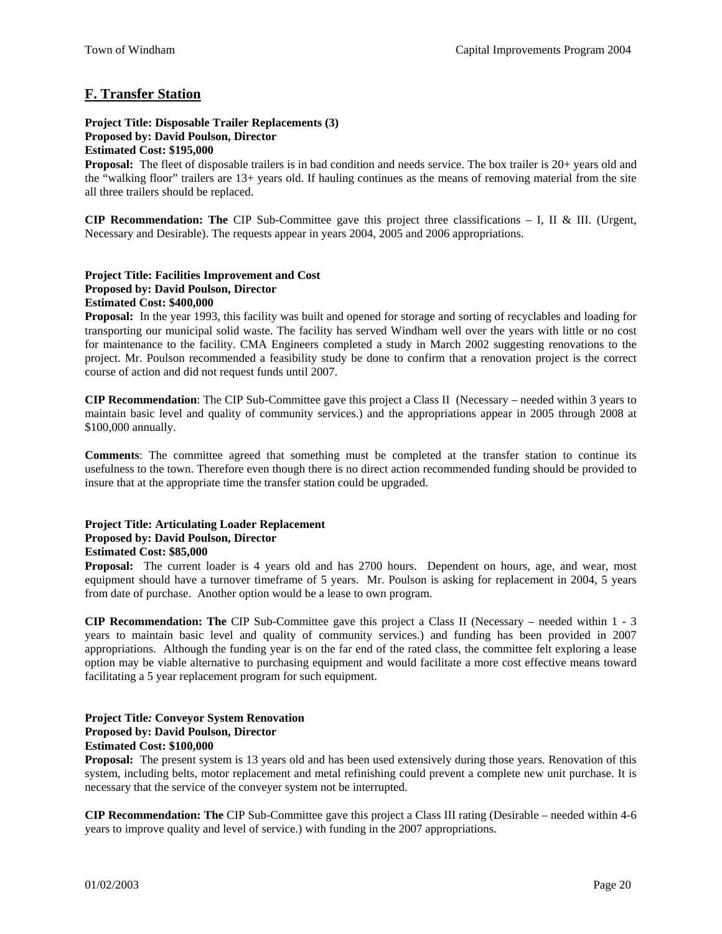## **F. Transfer Station**

### **Project Title: Disposable Trailer Replacements (3) Proposed by: David Poulson, Director Estimated Cost: \$195,000**

**Proposal:** The fleet of disposable trailers is in bad condition and needs service. The box trailer is 20+ years old and the "walking floor" trailers are 13+ years old. If hauling continues as the means of removing material from the site all three trailers should be replaced.

**CIP Recommendation: The** CIP Sub-Committee gave this project three classifications – I, II & III. (Urgent, Necessary and Desirable). The requests appear in years 2004, 2005 and 2006 appropriations.

## **Project Title: Facilities Improvement and Cost Proposed by: David Poulson, Director Estimated Cost: \$400,000**

**Proposal:** In the year 1993, this facility was built and opened for storage and sorting of recyclables and loading for transporting our municipal solid waste. The facility has served Windham well over the years with little or no cost for maintenance to the facility. CMA Engineers completed a study in March 2002 suggesting renovations to the project. Mr. Poulson recommended a feasibility study be done to confirm that a renovation project is the correct course of action and did not request funds until 2007.

**CIP Recommendation**: The CIP Sub-Committee gave this project a Class II (Necessary – needed within 3 years to maintain basic level and quality of community services.) and the appropriations appear in 2005 through 2008 at \$100,000 annually.

**Comments**: The committee agreed that something must be completed at the transfer station to continue its usefulness to the town. Therefore even though there is no direct action recommended funding should be provided to insure that at the appropriate time the transfer station could be upgraded.

#### **Project Title: Articulating Loader Replacement Proposed by: David Poulson, Director**

## **Estimated Cost: \$85,000**

**Proposal:** The current loader is 4 years old and has 2700 hours. Dependent on hours, age, and wear, most equipment should have a turnover timeframe of 5 years. Mr. Poulson is asking for replacement in 2004, 5 years from date of purchase. Another option would be a lease to own program.

**CIP Recommendation: The** CIP Sub-Committee gave this project a Class II (Necessary – needed within 1 - 3 years to maintain basic level and quality of community services.) and funding has been provided in 2007 appropriations. Although the funding year is on the far end of the rated class, the committee felt exploring a lease option may be viable alternative to purchasing equipment and would facilitate a more cost effective means toward facilitating a 5 year replacement program for such equipment.

## **Project Title***:* **Conveyor System Renovation Proposed by: David Poulson, Director**

## **Estimated Cost: \$100,000**

**Proposal:** The present system is 13 years old and has been used extensively during those years. Renovation of this system, including belts, motor replacement and metal refinishing could prevent a complete new unit purchase. It is necessary that the service of the conveyer system not be interrupted.

**CIP Recommendation: The** CIP Sub-Committee gave this project a Class III rating (Desirable – needed within 4-6 years to improve quality and level of service.) with funding in the 2007 appropriations.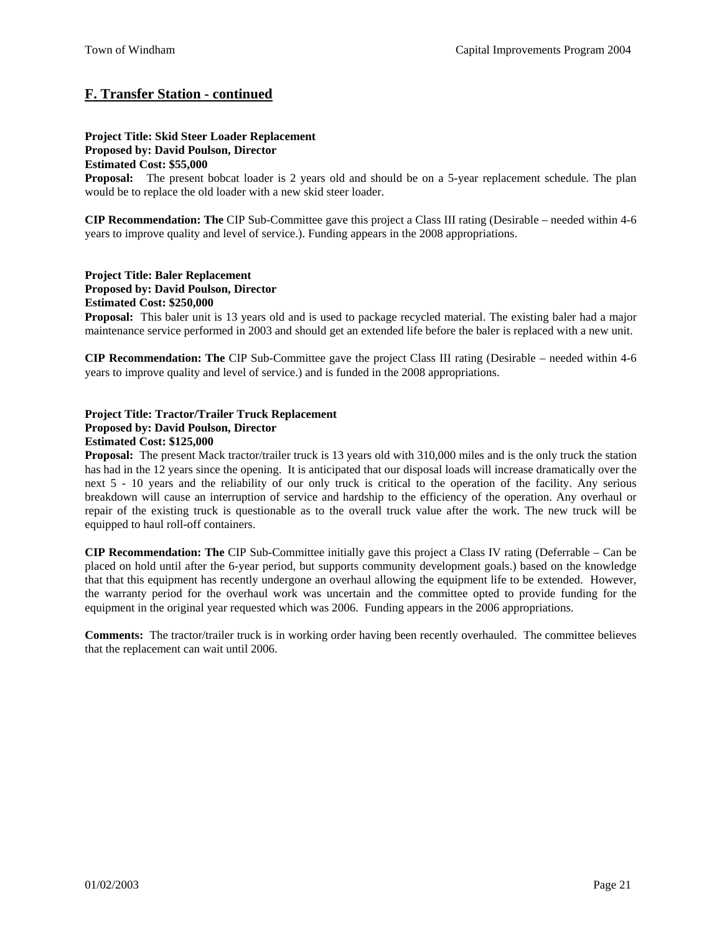## **F. Transfer Station - continued**

### **Project Title: Skid Steer Loader Replacement Proposed by: David Poulson, Director Estimated Cost: \$55,000**

**Proposal:** The present bobcat loader is 2 years old and should be on a 5-year replacement schedule. The plan would be to replace the old loader with a new skid steer loader.

**CIP Recommendation: The** CIP Sub-Committee gave this project a Class III rating (Desirable – needed within 4-6 years to improve quality and level of service.). Funding appears in the 2008 appropriations.

### **Project Title: Baler Replacement Proposed by: David Poulson, Director Estimated Cost: \$250,000**

**Proposal:** This baler unit is 13 years old and is used to package recycled material. The existing baler had a major maintenance service performed in 2003 and should get an extended life before the baler is replaced with a new unit.

**CIP Recommendation: The** CIP Sub-Committee gave the project Class III rating (Desirable – needed within 4-6 years to improve quality and level of service.) and is funded in the 2008 appropriations.

#### **Project Title: Tractor/Trailer Truck Replacement Proposed by: David Poulson, Director Estimated Cost: \$125,000**

**Proposal:** The present Mack tractor/trailer truck is 13 years old with 310,000 miles and is the only truck the station has had in the 12 years since the opening. It is anticipated that our disposal loads will increase dramatically over the next 5 - 10 years and the reliability of our only truck is critical to the operation of the facility. Any serious breakdown will cause an interruption of service and hardship to the efficiency of the operation. Any overhaul or repair of the existing truck is questionable as to the overall truck value after the work. The new truck will be equipped to haul roll-off containers.

**CIP Recommendation: The** CIP Sub-Committee initially gave this project a Class IV rating (Deferrable – Can be placed on hold until after the 6-year period, but supports community development goals.) based on the knowledge that that this equipment has recently undergone an overhaul allowing the equipment life to be extended. However, the warranty period for the overhaul work was uncertain and the committee opted to provide funding for the equipment in the original year requested which was 2006. Funding appears in the 2006 appropriations.

**Comments:** The tractor/trailer truck is in working order having been recently overhauled. The committee believes that the replacement can wait until 2006.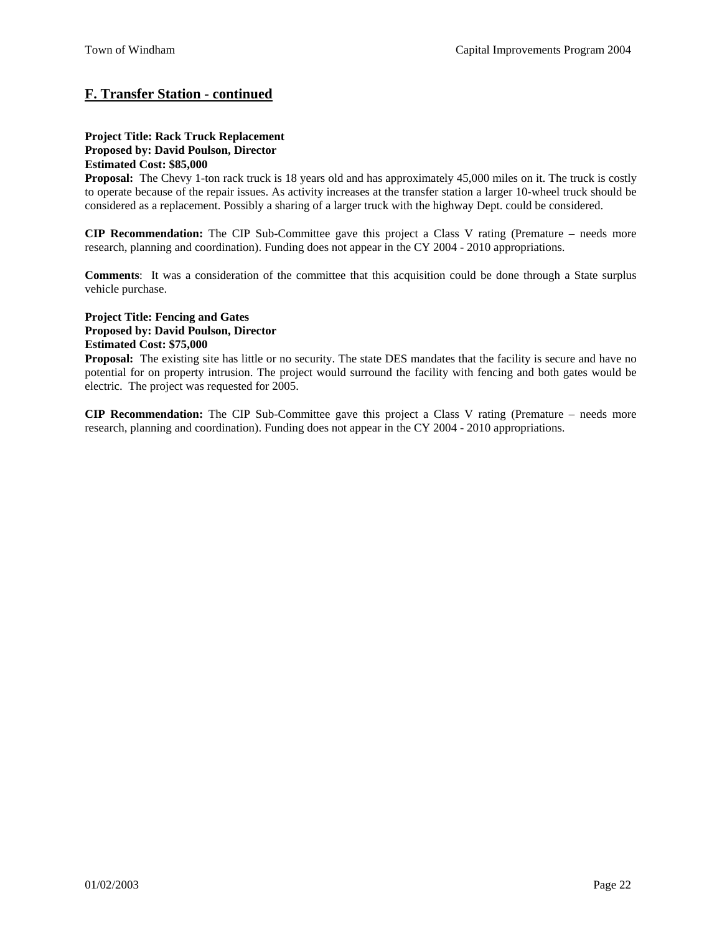## **F. Transfer Station - continued**

## **Project Title: Rack Truck Replacement Proposed by: David Poulson, Director Estimated Cost: \$85,000**

**Proposal:** The Chevy 1-ton rack truck is 18 years old and has approximately 45,000 miles on it. The truck is costly to operate because of the repair issues. As activity increases at the transfer station a larger 10-wheel truck should be considered as a replacement. Possibly a sharing of a larger truck with the highway Dept. could be considered.

**CIP Recommendation:** The CIP Sub-Committee gave this project a Class V rating (Premature – needs more research, planning and coordination). Funding does not appear in the CY 2004 - 2010 appropriations.

**Comments**: It was a consideration of the committee that this acquisition could be done through a State surplus vehicle purchase.

### **Project Title: Fencing and Gates Proposed by: David Poulson, Director Estimated Cost: \$75,000**

**Proposal:** The existing site has little or no security. The state DES mandates that the facility is secure and have no potential for on property intrusion. The project would surround the facility with fencing and both gates would be electric. The project was requested for 2005.

**CIP Recommendation:** The CIP Sub-Committee gave this project a Class V rating (Premature – needs more research, planning and coordination). Funding does not appear in the CY 2004 - 2010 appropriations.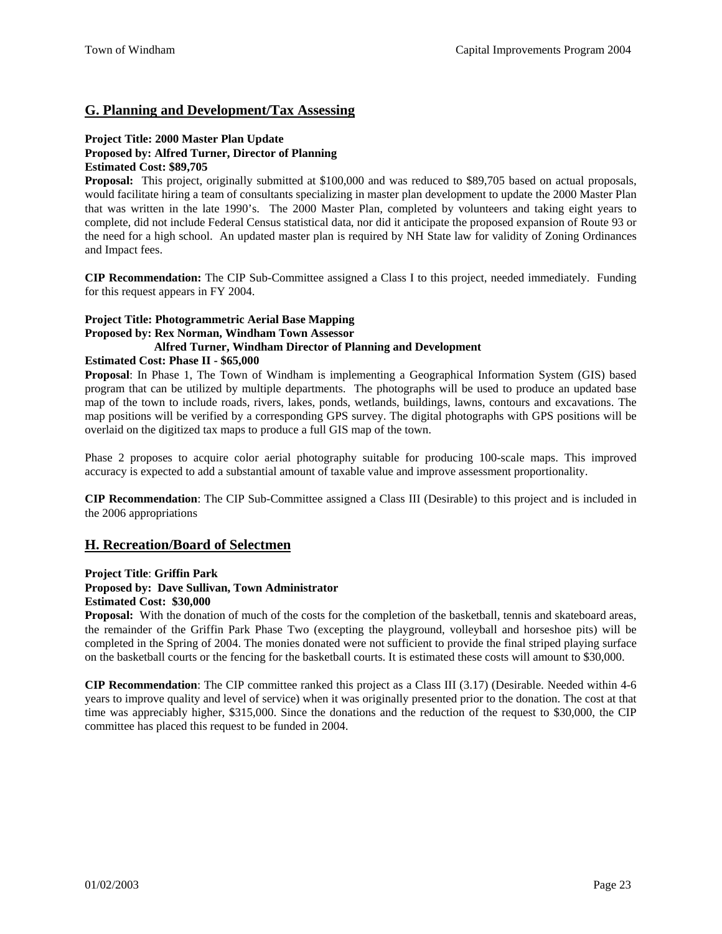## **G. Planning and Development/Tax Assessing**

### **Project Title: 2000 Master Plan Update Proposed by: Alfred Turner, Director of Planning Estimated Cost: \$89,705**

**Proposal:** This project, originally submitted at \$100,000 and was reduced to \$89,705 based on actual proposals, would facilitate hiring a team of consultants specializing in master plan development to update the 2000 Master Plan that was written in the late 1990's. The 2000 Master Plan, completed by volunteers and taking eight years to complete, did not include Federal Census statistical data, nor did it anticipate the proposed expansion of Route 93 or the need for a high school. An updated master plan is required by NH State law for validity of Zoning Ordinances and Impact fees.

**CIP Recommendation:** The CIP Sub-Committee assigned a Class I to this project, needed immediately. Funding for this request appears in FY 2004.

## **Project Title: Photogrammetric Aerial Base Mapping Proposed by: Rex Norman, Windham Town Assessor Alfred Turner, Windham Director of Planning and Development**

**Estimated Cost: Phase II - \$65,000**

**Proposal**: In Phase 1, The Town of Windham is implementing a Geographical Information System (GIS) based program that can be utilized by multiple departments. The photographs will be used to produce an updated base map of the town to include roads, rivers, lakes, ponds, wetlands, buildings, lawns, contours and excavations. The map positions will be verified by a corresponding GPS survey. The digital photographs with GPS positions will be overlaid on the digitized tax maps to produce a full GIS map of the town.

Phase 2 proposes to acquire color aerial photography suitable for producing 100-scale maps. This improved accuracy is expected to add a substantial amount of taxable value and improve assessment proportionality.

**CIP Recommendation**: The CIP Sub-Committee assigned a Class III (Desirable) to this project and is included in the 2006 appropriations

## **H. Recreation/Board of Selectmen**

### **Project Title**: **Griffin Park**

## **Proposed by: Dave Sullivan, Town Administrator**

#### **Estimated Cost: \$30,000**

Proposal: With the donation of much of the costs for the completion of the basketball, tennis and skateboard areas, the remainder of the Griffin Park Phase Two (excepting the playground, volleyball and horseshoe pits) will be completed in the Spring of 2004. The monies donated were not sufficient to provide the final striped playing surface on the basketball courts or the fencing for the basketball courts. It is estimated these costs will amount to \$30,000.

**CIP Recommendation**: The CIP committee ranked this project as a Class III (3.17) (Desirable. Needed within 4-6 years to improve quality and level of service) when it was originally presented prior to the donation. The cost at that time was appreciably higher, \$315,000. Since the donations and the reduction of the request to \$30,000, the CIP committee has placed this request to be funded in 2004.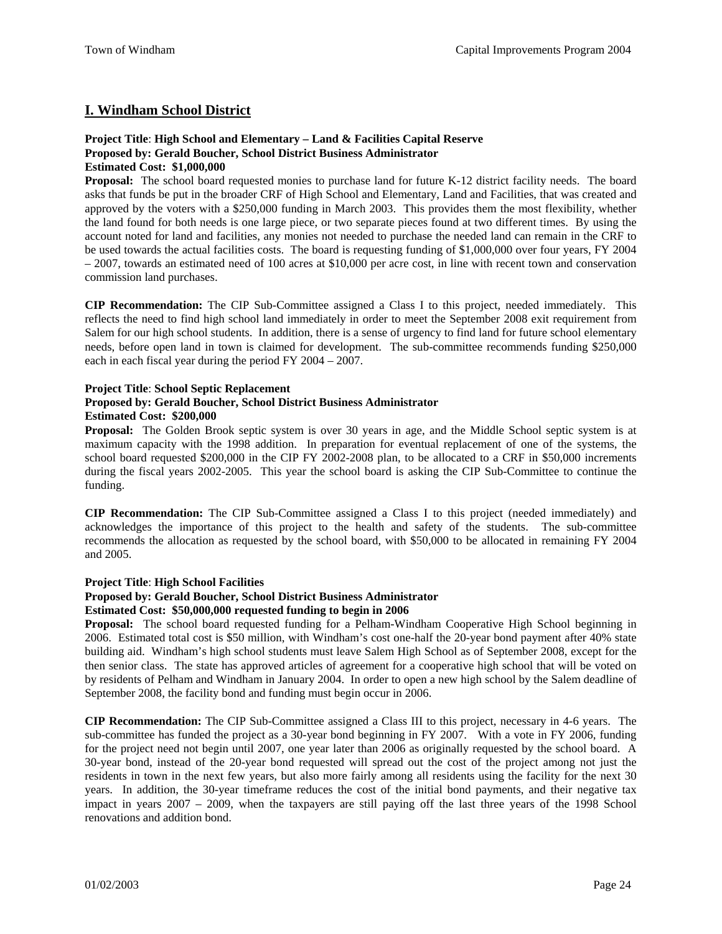## **I. Windham School District**

#### **Project Title**: **High School and Elementary – Land & Facilities Capital Reserve Proposed by: Gerald Boucher, School District Business Administrator Estimated Cost: \$1,000,000**

**Proposal:** The school board requested monies to purchase land for future K-12 district facility needs. The board asks that funds be put in the broader CRF of High School and Elementary, Land and Facilities, that was created and approved by the voters with a \$250,000 funding in March 2003. This provides them the most flexibility, whether the land found for both needs is one large piece, or two separate pieces found at two different times. By using the account noted for land and facilities, any monies not needed to purchase the needed land can remain in the CRF to be used towards the actual facilities costs. The board is requesting funding of \$1,000,000 over four years, FY 2004 – 2007, towards an estimated need of 100 acres at \$10,000 per acre cost, in line with recent town and conservation commission land purchases.

**CIP Recommendation:** The CIP Sub-Committee assigned a Class I to this project, needed immediately. This reflects the need to find high school land immediately in order to meet the September 2008 exit requirement from Salem for our high school students. In addition, there is a sense of urgency to find land for future school elementary needs, before open land in town is claimed for development. The sub-committee recommends funding \$250,000 each in each fiscal year during the period FY 2004 – 2007.

### **Project Title**: **School Septic Replacement**

#### **Proposed by: Gerald Boucher, School District Business Administrator**

#### **Estimated Cost: \$200,000**

**Proposal:** The Golden Brook septic system is over 30 years in age, and the Middle School septic system is at maximum capacity with the 1998 addition. In preparation for eventual replacement of one of the systems, the school board requested \$200,000 in the CIP FY 2002-2008 plan, to be allocated to a CRF in \$50,000 increments during the fiscal years 2002-2005. This year the school board is asking the CIP Sub-Committee to continue the funding.

**CIP Recommendation:** The CIP Sub-Committee assigned a Class I to this project (needed immediately) and acknowledges the importance of this project to the health and safety of the students. The sub-committee recommends the allocation as requested by the school board, with \$50,000 to be allocated in remaining FY 2004 and 2005.

### **Project Title**: **High School Facilities**

### **Proposed by: Gerald Boucher, School District Business Administrator**

### **Estimated Cost: \$50,000,000 requested funding to begin in 2006**

**Proposal:** The school board requested funding for a Pelham-Windham Cooperative High School beginning in 2006. Estimated total cost is \$50 million, with Windham's cost one-half the 20-year bond payment after 40% state building aid. Windham's high school students must leave Salem High School as of September 2008, except for the then senior class. The state has approved articles of agreement for a cooperative high school that will be voted on by residents of Pelham and Windham in January 2004. In order to open a new high school by the Salem deadline of September 2008, the facility bond and funding must begin occur in 2006.

**CIP Recommendation:** The CIP Sub-Committee assigned a Class III to this project, necessary in 4-6 years. The sub-committee has funded the project as a 30-year bond beginning in FY 2007. With a vote in FY 2006, funding for the project need not begin until 2007, one year later than 2006 as originally requested by the school board. A 30-year bond, instead of the 20-year bond requested will spread out the cost of the project among not just the residents in town in the next few years, but also more fairly among all residents using the facility for the next 30 years. In addition, the 30-year timeframe reduces the cost of the initial bond payments, and their negative tax impact in years 2007 – 2009, when the taxpayers are still paying off the last three years of the 1998 School renovations and addition bond.